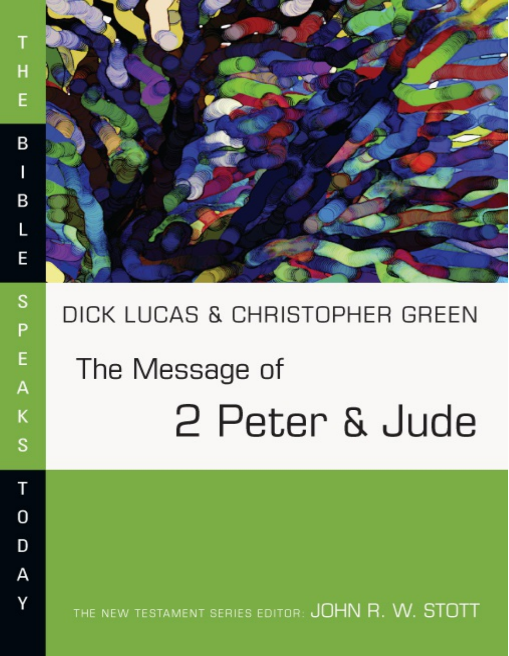

# DICK LUCAS & CHRISTOPHER GREEN The Message of 2 Peter & Jude

THE NEW TESTAMENT SERIES EDITOR: JOHN R. W. STOTT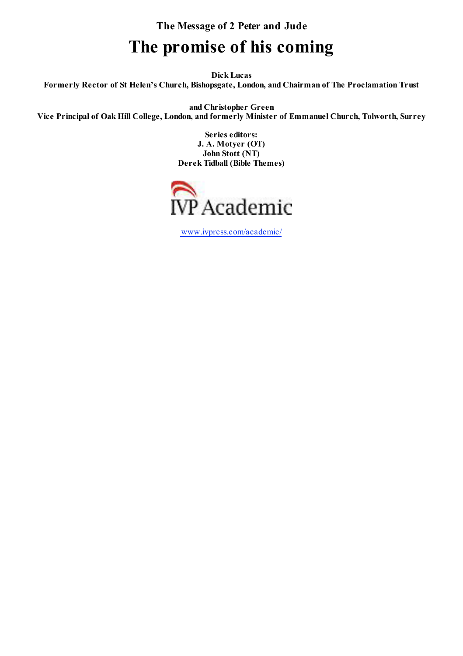**The Message of 2 Peter and Jude**

# **The promise of his coming**

**Dick Lucas**

**Formerly Rector of St Helen's Church, Bishopsgate, London, and Chairman of The Proclamation Trust**

**and Christopher Green**

**Vice Principal of Oak Hill College, London, and formerly Minister of Emmanuel Church, Tolworth, Surrey**

**Series editors: J. A. Motyer (OT) John Stott (NT) Derek Tidball (Bible Themes)**



www.ivpress.com/academic/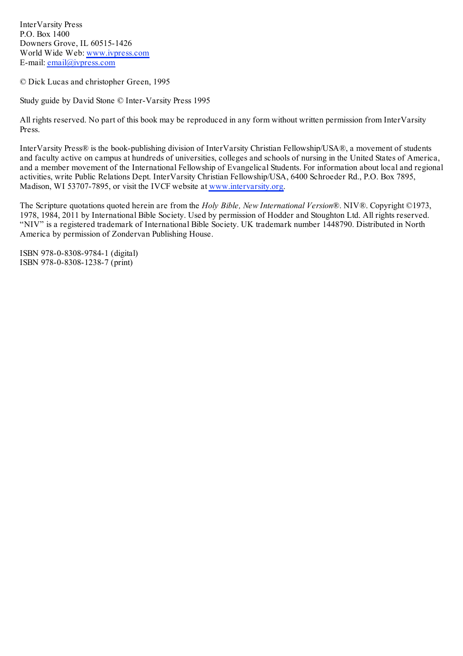InterVarsity Press P.O. Box 1400 Downers Grove, IL 60515-1426 World Wide Web: www.ivpress.com E-mail: email@ivpress.com

© Dick Lucas and christopher Green, 1995

Study guide by David Stone © Inter-Varsity Press 1995

All rights reserved. No part of this book may be reproduced in any form without written permission from InterVarsity Press.

InterVarsity Press® is the book-publishing division of InterVarsity Christian Fellowship/USA®, a movement of students and faculty active on campus at hundreds of universities, colleges and schools of nursing in the United States of America, and a member movement of the International Fellowship of Evangelical Students. For information about local and regional activities, write Public Relations Dept. InterVarsity Christian Fellowship/USA, 6400 Schroeder Rd., P.O. Box 7895, Madison, WI 53707-7895, or visit the IVCF website at www.intervarsity.org.

The Scripture quotations quoted herein are from the *Holy Bible, New International Version*®. NIV®. Copyright ©1973, 1978, 1984, 2011 by International Bible Society. Used by permission of Hodder and Stoughton Ltd. All rights reserved. "NIV" is a registered trademark of International Bible Society. UK trademark number 1448790. Distributed in North America by permission of Zondervan Publishing House.

ISBN 978-0-8308-9784-1 (digital) ISBN 978-0-8308-1238-7 (print)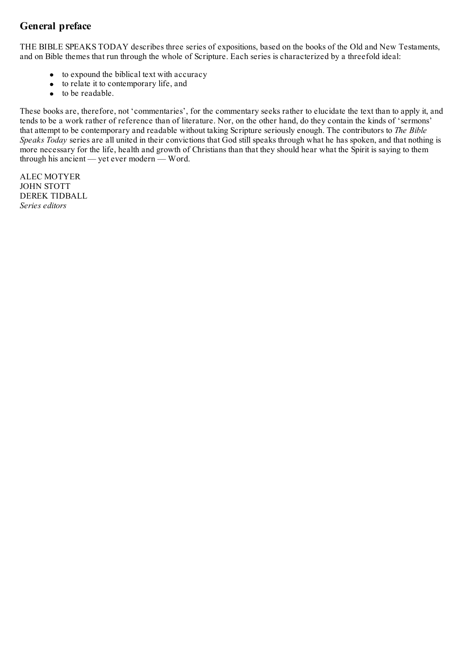# **General preface**

THE BIBLE SPEAKS TODAY describes three series of expositions, based on the books of the Old and New Testaments, and on Bible themes that run through the whole of Scripture. Each series is characterized by a threefold ideal:

- to expound the biblical text with accuracy
- to relate it to contemporary life, and
- $\bullet$  to be readable.

These books are, therefore, not 'commentaries', for the commentary seeks rather to elucidate the text than to apply it, and tends to be a work rather of reference than of literature. Nor, on the other hand, do they contain the kinds of 'sermons' that attempt to be contemporary and readable without taking Scripture seriously enough. The contributors to *The Bible Speaks Today* series are all united in their convictions that God still speaks through what he has spoken, and that nothing is more necessary for the life, health and growth of Christians than that they should hear what the Spirit is saying to them through his ancient — yet ever modern — Word.

ALEC MOTYER JOHN STOTT DEREK TIDBALL *Series editors*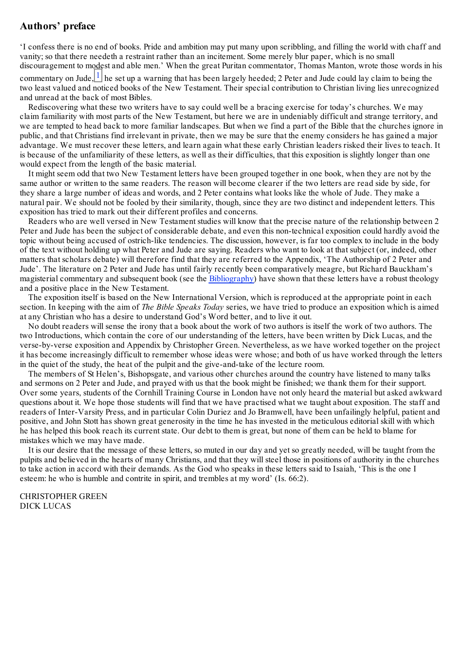# **Authors' preface**

'I confess there is no end of books. Pride and ambition may put many upon scribbling, and filling the world with chaff and vanity; so that there needeth a restraint rather than an incitement. Some merely blur paper, which is no small discouragement to modest and able men.' When the great Puritan commentator, Thomas Manton, wrote those words in his

commentary on Jude,  $\Box$  he set up a warning that has been largely heeded; 2 Peter and Jude could lay claim to being the two least valued and noticed books of the New Testament. Their special contribution to Christian living lies unrecognized and unread at the back of most Bibles.

Rediscovering what these two writers have to say could well be a bracing exercise for today's churches. We may claim familiarity with most parts of the New Testament, but here we are in undeniably difficult and strange territory, and we are tempted to head back to more familiar landscapes. But when we find a part of the Bible that the churches ignore in public, and that Christians find irrelevant in private, then we may be sure that the enemy considers he has gained a major advantage. We must recover these letters, and learn again what these early Christian leaders risked their lives to teach. It is because of the unfamiliarity of these letters, as well as their difficulties, that this exposition is slightly longer than one would expect from the length of the basic material.

It might seem odd that two New Testament letters have been grouped together in one book, when they are not by the same author or written to the same readers. The reason will become clearer if the two letters are read side by side, for they share a large number of ideas and words, and 2 Peter contains what looks like the whole of Jude. They make a natural pair. We should not be fooled by their similarity, though, since they are two distinct and independent letters. This exposition has tried to mark out their different profiles and concerns.

Readers who are well versed in New Testament studies will know that the precise nature of the relationship between 2 Peter and Jude has been the subject of considerable debate, and even this non-technical exposition could hardly avoid the topic without being accused of ostrich-like tendencies. The discussion, however, is far too complex to include in the body of the text without holding up what Peter and Jude are saying. Readers who want to look at that subject (or, indeed, other matters that scholars debate) will therefore find that they are referred to the Appendix, 'The Authorship of 2 Peter and Jude'. The literature on 2 Peter and Jude has until fairly recently been comparatively meagre, but Richard Bauckham's magisterial commentary and subsequent book (see the Bibliography) have shown that these letters have a robust theology and a positive place in the New Testament.

The exposition itself is based on the New International Version, which is reproduced at the appropriate point in each section. In keeping with the aim of *The Bible Speaks Today* series, we have tried to produce an exposition which is aimed at any Christian who has a desire to understand God's Word better, and to live it out.

No doubt readers will sense the irony that a book about the work of two authors is itself the work of two authors. The two Introductions, which contain the core of our understanding of the letters, have been written by Dick Lucas, and the verse-by-verse exposition and Appendix by Christopher Green. Nevertheless, as we have worked together on the project it has become increasingly difficult to remember whose ideas were whose; and both of us have worked through the letters in the quiet of the study, the heat of the pulpit and the give-and-take of the lecture room.

The members of St Helen's, Bishopsgate, and various other churches around the country have listened to many talks and sermons on 2 Peter and Jude, and prayed with us that the book might be finished; we thank them for their support. Over some years, students of the Cornhill Training Course in London have not only heard the material but asked awkward questions about it. We hope those students will find that we have practised what we taught about exposition. The staff and readers of Inter-Varsity Press, and in particular Colin Duriez and Jo Bramwell, have been unfailingly helpful, patient and positive, and John Stott has shown great generosity in the time he has invested in the meticulous editorial skill with which he has helped this book reach its current state. Our debt to them is great, but none of them can be held to blame for mistakes which we may have made.

It is our desire that the message of these letters, so muted in our day and yet so greatly needed, will be taught from the pulpits and believed in the hearts of many Christians, and that they will steel those in positions of authority in the churches to take action in accord with their demands. As the God who speaks in these letters said to Isaiah, 'This is the one I esteem: he who is humble and contrite in spirit, and trembles at my word' (Is. 66:2).

CHRISTOPHER GREEN DICK LUCAS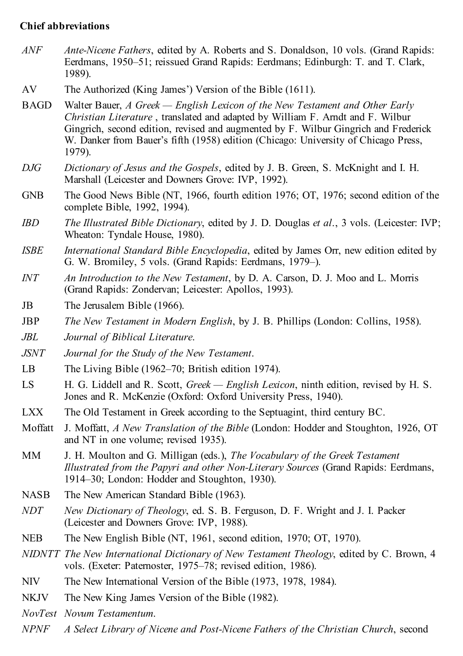## **Chief abbreviations**

- *ANF Ante-Nicene Fathers*, edited by A. Roberts and S. Donaldson, 10 vols. (Grand Rapids: Eerdmans, 1950–51; reissued Grand Rapids: Eerdmans; Edinburgh: T. and T. Clark, 1989).
- AV The Authorized (King James') Version of the Bible (1611).

BAGD Walter Bauer, *A Greek — English Lexicon of the New Testament and Other Early Christian Literature* , translated and adapted by William F. Arndt and F. Wilbur Gingrich, second edition, revised and augmented by F. Wilbur Gingrich and Frederick W. Danker from Bauer's fifth (1958) edition (Chicago: University of Chicago Press, 1979).

- *DJG Dictionary of Jesus and the Gospels*, edited by J. B. Green, S. McKnight and I. H. Marshall (Leicester and Downers Grove: IVP, 1992).
- GNB The Good News Bible (NT, 1966, fourth edition 1976; OT, 1976; second edition of the complete Bible, 1992, 1994).
- *IBD The Illustrated Bible Dictionary*, edited by J. D. Douglas *et al*., 3 vols. (Leicester: IVP; Wheaton: Tyndale House, 1980).
- *ISBE International Standard Bible Encyclopedia*, edited by James Orr, new edition edited by G. W. Bromiley, 5 vols. (Grand Rapids: Eerdmans, 1979–).
- *INT An Introduction to the New Testament*, by D. A. Carson, D. J. Moo and L. Morris (Grand Rapids: Zondervan; Leicester: Apollos, 1993).
- JB The Jerusalem Bible (1966).
- JBP *The New Testament in Modern English*, by J. B. Phillips (London: Collins, 1958).
- *JBL Journal of Biblical Literature*.
- *JSNT Journal for the Study of the New Testament*.
- LB The Living Bible (1962–70; British edition 1974).
- LS H. G. Liddell and R. Scott, *Greek English Lexicon*, ninth edition, revised by H. S. Jones and R. McKenzie (Oxford: Oxford University Press, 1940).
- LXX The Old Testament in Greek according to the Septuagint, third century BC.
- Moffatt J. Moffatt, *A New Translation of the Bible* (London: Hodder and Stoughton, 1926, OT and NT in one volume; revised 1935).
- MM J. H. Moulton and G. Milligan (eds.), *The Vocabulary of the Greek Testament Illustrated from the Papyri and other Non-Literary Sources* (Grand Rapids: Eerdmans, 1914–30; London: Hodder and Stoughton, 1930).
- NASB The New American Standard Bible (1963).
- *NDT New Dictionary of Theology*, ed. S. B. Ferguson, D. F. Wright and J. I. Packer (Leicester and Downers Grove: IVP, 1988).
- NEB The New English Bible (NT, 1961, second edition, 1970; OT, 1970).
- *NIDNTT The New International Dictionary of New Testament Theology*, edited by C. Brown, 4 vols. (Exeter: Paternoster, 1975–78; revised edition, 1986).
- NIV The New International Version of the Bible (1973, 1978, 1984).
- NKJV The New King James Version of the Bible (1982).

*NovTest Novum Testamentum*.

*NPNF A Select Library of Nicene and Post-Nicene Fathers of the Christian Church*, second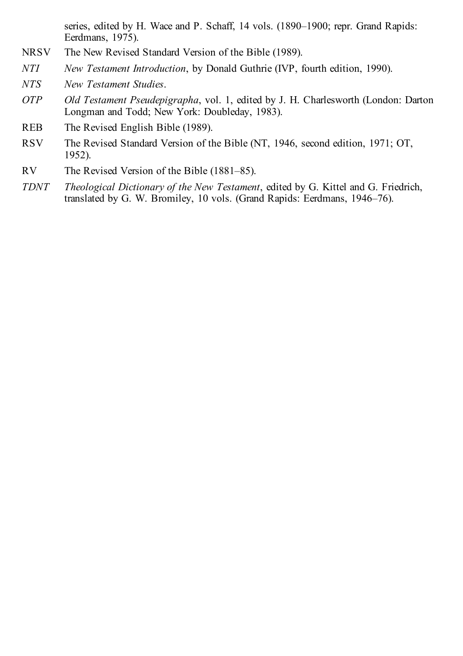series, edited by H. Wace and P. Schaff, 14 vols. (1890–1900; repr. Grand Rapids: Eerdmans, 1975).

- NRSV The New Revised Standard Version of the Bible (1989).
- *NTI New Testament Introduction*, by Donald Guthrie (IVP, fourth edition, 1990).
- *NTS New Testament Studies*.
- *OTP Old Testament Pseudepigrapha*, vol. 1, edited by J. H. Charlesworth (London: Darton Longman and Todd; New York: Doubleday, 1983).
- REB The Revised English Bible (1989).
- RSV The Revised Standard Version of the Bible (NT, 1946, second edition, 1971; OT, 1952).
- RV The Revised Version of the Bible (1881–85).
- *TDNT Theological Dictionary of the New Testament*, edited by G. Kittel and G. Friedrich, translated by G. W. Bromiley, 10 vols. (Grand Rapids: Eerdmans, 1946–76).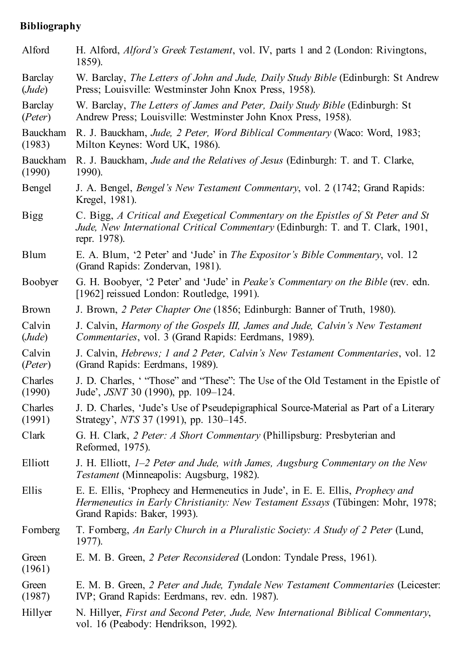# **Bibliography**

| Alford                    | H. Alford, <i>Alford's Greek Testament</i> , vol. IV, parts 1 and 2 (London: Rivingtons,<br>1859).                                                                                               |
|---------------------------|--------------------------------------------------------------------------------------------------------------------------------------------------------------------------------------------------|
| <b>Barclay</b><br>(Jude)  | W. Barclay, The Letters of John and Jude, Daily Study Bible (Edinburgh: St Andrew<br>Press, Louisville: Westminster John Knox Press, 1958).                                                      |
| <b>Barclay</b><br>(Peter) | W. Barclay, The Letters of James and Peter, Daily Study Bible (Edinburgh: St<br>Andrew Press; Louisville: Westminster John Knox Press, 1958).                                                    |
| Bauckham<br>(1983)        | R. J. Bauckham, Jude, 2 Peter, Word Biblical Commentary (Waco: Word, 1983;<br>Milton Keynes: Word UK, 1986).                                                                                     |
| Bauckham<br>(1990)        | R. J. Bauckham, Jude and the Relatives of Jesus (Edinburgh: T. and T. Clarke,<br>1990).                                                                                                          |
| Bengel                    | J. A. Bengel, Bengel's New Testament Commentary, vol. 2 (1742; Grand Rapids:<br>Kregel, 1981).                                                                                                   |
| <b>Bigg</b>               | C. Bigg, A Critical and Exegetical Commentary on the Epistles of St Peter and St<br>Jude, New International Critical Commentary (Edinburgh: T. and T. Clark, 1901,<br>repr. 1978).               |
| Blum                      | E. A. Blum, '2 Peter' and 'Jude' in The Expositor's Bible Commentary, vol. 12<br>(Grand Rapids: Zondervan, 1981).                                                                                |
| Boobyer                   | G. H. Boobyer, '2 Peter' and 'Jude' in Peake's Commentary on the Bible (rev. edn.<br>[1962] reissued London: Routledge, 1991).                                                                   |
| <b>Brown</b>              | J. Brown, 2 Peter Chapter One (1856; Edinburgh: Banner of Truth, 1980).                                                                                                                          |
| Calvin<br>(Jude)          | J. Calvin, Harmony of the Gospels III, James and Jude, Calvin's New Testament<br>Commentaries, vol. 3 (Grand Rapids: Eerdmans, 1989).                                                            |
| Calvin<br>(Peter)         | J. Calvin, Hebrews; 1 and 2 Peter, Calvin's New Testament Commentaries, vol. 12<br>(Grand Rapids: Eerdmans, 1989).                                                                               |
| Charles<br>(1990)         | J. D. Charles, "Those" and "These": The Use of the Old Testament in the Epistle of<br>Jude', JSNT 30 (1990), pp. 109-124.                                                                        |
| Charles<br>(1991)         | J. D. Charles, 'Jude's Use of Pseudepigraphical Source-Material as Part of a Literary<br>Strategy', NTS 37 (1991), pp. 130-145.                                                                  |
| Clark                     | G. H. Clark, 2 Peter: A Short Commentary (Phillipsburg: Presbyterian and<br>Reformed, 1975).                                                                                                     |
| Elliott                   | J. H. Elliott, 1-2 Peter and Jude, with James, Augsburg Commentary on the New<br>Testament (Minneapolis: Augsburg, 1982).                                                                        |
| Ellis                     | E. E. Ellis, 'Prophecy and Hermeneutics in Jude', in E. E. Ellis, Prophecy and<br>Hermeneutics in Early Christianity: New Testament Essays (Tübingen: Mohr, 1978;<br>Grand Rapids: Baker, 1993). |
| Fornberg                  | T. Fornberg, An Early Church in a Pluralistic Society: A Study of 2 Peter (Lund,<br>1977).                                                                                                       |
| Green<br>(1961)           | E. M. B. Green, 2 Peter Reconsidered (London: Tyndale Press, 1961).                                                                                                                              |
| Green<br>(1987)           | E. M. B. Green, 2 Peter and Jude, Tyndale New Testament Commentaries (Leicester:<br>IVP; Grand Rapids: Eerdmans, rev. edn. 1987).                                                                |
| Hillyer                   | N. Hillyer, First and Second Peter, Jude, New International Biblical Commentary,<br>vol. 16 (Peabody: Hendrikson, 1992).                                                                         |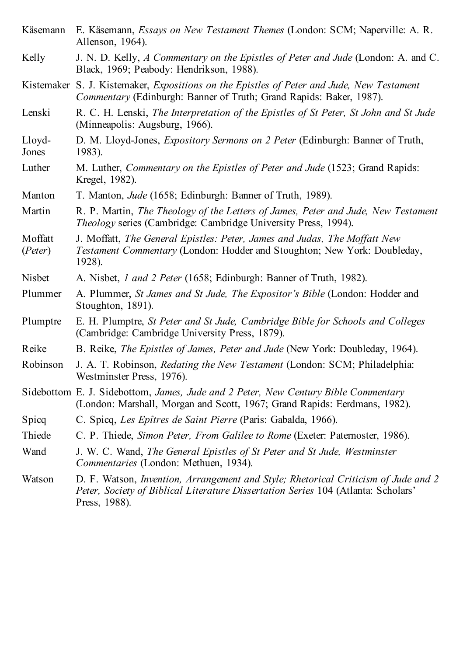|                    | Käsemann E. Käsemann, Essays on New Testament Themes (London: SCM; Naperville: A. R.<br>Allenson, 1964).                                                                                 |
|--------------------|------------------------------------------------------------------------------------------------------------------------------------------------------------------------------------------|
| Kelly              | J. N. D. Kelly, A Commentary on the Epistles of Peter and Jude (London: A. and C.<br>Black, 1969; Peabody: Hendrikson, 1988).                                                            |
|                    | Kistemaker S. J. Kistemaker, Expositions on the Epistles of Peter and Jude, New Testament<br>Commentary (Edinburgh: Banner of Truth; Grand Rapids: Baker, 1987).                         |
| Lenski             | R. C. H. Lenski, The Interpretation of the Epistles of St Peter, St John and St Jude<br>(Minneapolis: Augsburg, 1966).                                                                   |
| Lloyd-<br>Jones    | D. M. Lloyd-Jones, <i>Expository Sermons on 2 Peter</i> (Edinburgh: Banner of Truth,<br>1983).                                                                                           |
| Luther             | M. Luther, Commentary on the Epistles of Peter and Jude (1523; Grand Rapids:<br>Kregel, 1982).                                                                                           |
| Manton             | T. Manton, Jude (1658; Edinburgh: Banner of Truth, 1989).                                                                                                                                |
| Martin             | R. P. Martin, The Theology of the Letters of James, Peter and Jude, New Testament<br>Theology series (Cambridge: Cambridge University Press, 1994).                                      |
| Moffatt<br>(Peter) | J. Moffatt, The General Epistles: Peter, James and Judas, The Moffatt New<br>Testament Commentary (London: Hodder and Stoughton; New York: Doubleday,<br>1928).                          |
| Nisbet             | A. Nisbet, 1 and 2 Peter (1658; Edinburgh: Banner of Truth, 1982).                                                                                                                       |
| Plummer            | A. Plummer, St James and St Jude, The Expositor's Bible (London: Hodder and<br>Stoughton, 1891).                                                                                         |
| Plumptre           | E. H. Plumptre, St Peter and St Jude, Cambridge Bible for Schools and Colleges<br>(Cambridge: Cambridge University Press, 1879).                                                         |
| Reike              | B. Reike, The Epistles of James, Peter and Jude (New York: Doubleday, 1964).                                                                                                             |
| Robinson           | J. A. T. Robinson, Redating the New Testament (London: SCM; Philadelphia:<br>Westminster Press, 1976).                                                                                   |
|                    | Sidebottom E. J. Sidebottom, James, Jude and 2 Peter, New Century Bible Commentary<br>(London: Marshall, Morgan and Scott, 1967; Grand Rapids: Eerdmans, 1982).                          |
| Spicq              | C. Spicq, Les Epîtres de Saint Pierre (Paris: Gabalda, 1966).                                                                                                                            |
| Thiede             | C. P. Thiede, Simon Peter, From Galilee to Rome (Exeter: Paternoster, 1986).                                                                                                             |
| Wand               | J. W. C. Wand, The General Epistles of St Peter and St Jude, Westminster<br>Commentaries (London: Methuen, 1934).                                                                        |
| Watson             | D. F. Watson, Invention, Arrangement and Style; Rhetorical Criticism of Jude and 2<br>Peter, Society of Biblical Literature Dissertation Series 104 (Atlanta: Scholars'<br>Press, 1988). |
|                    |                                                                                                                                                                                          |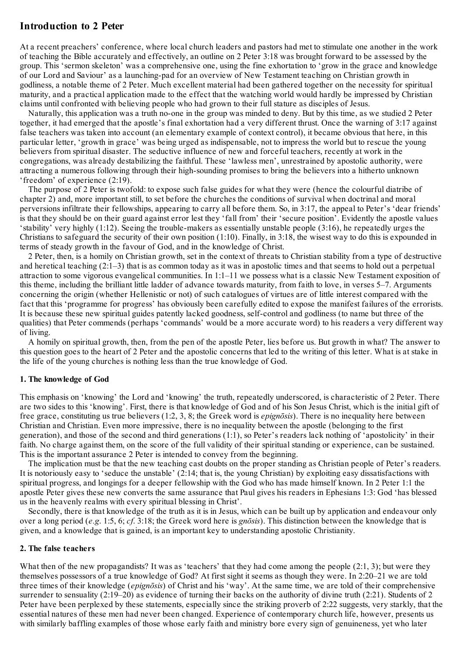# **Introduction to 2 Peter**

At a recent preachers' conference, where local church leaders and pastors had met to stimulate one another in the work of teaching the Bible accurately and effectively, an outline on 2 Peter 3:18 was brought forward to be assessed by the group. This 'sermon skeleton' was a comprehensive one, using the fine exhortation to 'grow in the grace and knowledge of our Lord and Saviour' as a launching-pad for an overview of New Testament teaching on Christian growth in godliness, a notable theme of 2 Peter. Much excellent material had been gathered together on the necessity for spiritual maturity, and a practical application made to the effect that the watching world would hardly be impressed by Christian claims until confronted with believing people who had grown to their full stature as disciples of Jesus.

Naturally, this application was a truth no-one in the group was minded to deny. But by this time, as we studied 2 Peter together, it had emerged that the apostle's final exhortation had a very different thrust. Once the warning of 3:17 against false teachers was taken into account (an elementary example of context control), it became obvious that here, in this particular letter, 'growth in grace' was being urged as indispensable, not to impress the world but to rescue the young believers from spiritual disaster. The seductive influence of new and forceful teachers, recently at work in the congregations, was already destabilizing the faithful. These 'lawless men', unrestrained by apostolic authority, were attracting a numerous following through their high-sounding promises to bring the believers into a hitherto unknown 'freedom' of experience (2:19).

The purpose of 2 Peter is twofold: to expose such false guides for what they were (hence the colourful diatribe of chapter 2) and, more important still, to set before the churches the conditions of survival when doctrinal and moral perversions infiltrate their fellowships, appearing to carry all before them. So, in 3:17, the appeal to Peter's 'dear friends' is that they should be on their guard against error lest they 'fall from' their 'secure position'. Evidently the apostle values 'stability' very highly (1:12). Seeing the trouble-makers as essentially unstable people (3:16), he repeatedly urges the Christians to safeguard the security of their own position (1:10). Finally, in 3:18, the wisest way to do this is expounded in terms of steady growth in the favour of God, and in the knowledge of Christ.

2 Peter, then, is a homily on Christian growth, set in the context of threats to Christian stability from a type of destructive and heretical teaching (2:1–3) that is as common today as it was in apostolic times and that seems to hold out a perpetual attraction to some vigorous evangelical communities. In 1:1–11 we possess what is a classic New Testament exposition of this theme, including the brilliant little ladder of advance towards maturity, from faith to love, in verses 5–7. Arguments concerning the origin (whether Hellenistic or not) of such catalogues of virtues are of little interest compared with the fact that this 'programme for progress' has obviously been carefully edited to expose the manifest failures of the errorists. It is because these new spiritual guides patently lacked goodness, self-control and godliness (to name but three of the qualities) that Peter commends (perhaps 'commands' would be a more accurate word) to his readers a very different way of living.

A homily on spiritual growth, then, from the pen of the apostle Peter, lies before us. But growth in what? The answer to this question goes to the heart of 2 Peter and the apostolic concerns that led to the writing of this letter. What is at stake in the life of the young churches is nothing less than the true knowledge of God.

#### **1. The knowledge of God**

This emphasis on 'knowing' the Lord and 'knowing' the truth, repeatedly underscored, is characteristic of 2 Peter. There are two sides to this 'knowing'. First, there is that knowledge of God and of his Son Jesus Christ, which is the initial gift of free grace, constituting us true believers (1:2, 3, 8; the Greek word is *epignōsis*). There is no inequality here between Christian and Christian. Even more impressive, there is no inequality between the apostle (belonging to the first generation), and those of the second and third generations (1:1), so Peter's readers lack nothing of 'apostolicity' in their faith. No charge against them, on the score of the full validity of their spiritual standing or experience, can be sustained. This is the important assurance 2 Peter is intended to convey from the beginning.

The implication must be that the new teaching cast doubts on the proper standing as Christian people of Peter's readers. It is notoriously easy to 'seduce the unstable' (2:14; that is, the young Christian) by exploiting easy dissatisfactions with spiritual progress, and longings for a deeper fellowship with the God who has made himself known. In 2 Peter 1:1 the apostle Peter gives these new converts the same assurance that Paul gives his readers in Ephesians 1:3: God 'has blessed us in the heavenly realms with every spiritual blessing in Christ'.

Secondly, there is that knowledge of the truth as it is in Jesus, which can be built up by application and endeavour only over a long period (*e.g*. 1:5, 6; *cf*. 3:18; the Greek word here is *gnōsis*). This distinction between the knowledge that is given, and a knowledge that is gained, is an important key to understanding apostolic Christianity.

#### **2. The false teachers**

What then of the new propagandists? It was as 'teachers' that they had come among the people  $(2:1, 3)$ ; but were they themselves possessors of a true knowledge of God? At first sight it seems as though they were. In 2:20–21 we are told three times of their knowledge (*epignōsis*) of Christ and his 'way'. At the same time, we are told of their comprehensive surrender to sensuality (2:19–20) as evidence of turning their backs on the authority of divine truth (2:21). Students of 2 Peter have been perplexed by these statements, especially since the striking proverb of 2:22 suggests, very starkly, that the essential natures of these men had never been changed. Experience of contemporary church life, however, presents us with similarly baffling examples of those whose early faith and ministry bore every sign of genuineness, yet who later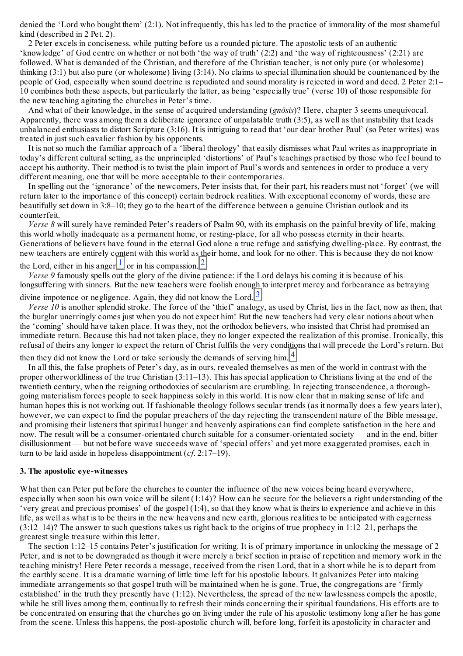denied the 'Lord who bought them' (2:1). Not infrequently, this has led to the practice of immorality of the most shameful kind (described in 2 Pet. 2).

2 Peter excels in conciseness, while putting before us a rounded picture. The apostolic tests of an authentic 'knowledge' of God centre on whether or not both 'the way of truth' (2:2) and 'the way of righteousness' (2:21) are followed. What is demanded of the Christian, and therefore of the Christian teacher, is not only pure (or wholesome) thinking (3:1) but also pure (or wholesome) living (3:14). No claims to special illumination should be countenanced by the people of God, especially when sound doctrine is repudiated and sound morality is rejected in word and deed. 2 Peter 2:1– 10 combines both these aspects, but particularly the latter, as being 'especially true' (verse 10) of those responsible for the new teaching agitating the churches in Peter's time.

And what of their knowledge, in the sense of acquired understanding (*gnōsis*)? Here, chapter 3 seems unequivocal. Apparently, there was among them a deliberate ignorance of unpalatable truth (3:5), as well as that instability that leads unbalanced enthusiasts to distort Scripture (3:16). It is intriguing to read that 'our dear brother Paul' (so Peter writes) was treated in just such cavalier fashion by his opponents.

It is not so much the familiar approach of a 'liberal theology' that easily dismisses what Paul writes as inappropriate in today's different cultural setting, as the unprincipled 'distortions' of Paul's teachings practised by those who feel bound to accept his authority. Their method is to twist the plain import of Paul's words and sentences in order to produce a very different meaning, one that will be more acceptable to their contemporaries.

In spelling out the 'ignorance' of the newcomers, Peter insists that, for their part, his readers must not 'forget' (we will return later to the importance of this concept) certain bedrock realities. With exceptional economy of words, these are beautifully set down in 3:8–10; they go to the heart of the difference between a genuine Christian outlook and its counterfeit.

*Verse 8* will surely have reminded Peter's readers of Psalm 90, with its emphasis on the painful brevity of life, making this world wholly inadequate as a permanent home, or resting-place, for all who possess eternity in their hearts. Generations of believers have found in the eternal God alone a true refuge and satisfying dwelling-place. By contrast, the new teachers are entirely content with this world as their home, and look for no other. This is because they do not know the Lord, either in his anger  $\frac{1}{2}$  or in his compassion.  $\frac{2}{2}$ 

*Verse 9* famously spells out the glory of the divine patience: if the Lord delays his coming it is because of his longsuffering with sinners. But the new teachers were foolish enough to interpret mercy and forbearance as betraying

divine impotence or negligence. Again, they did not know the Lord.<sup>3</sup>

*Verse 10* is another splendid stroke. The force of the 'thief' analogy, as used by Christ, lies in the fact, now as then, that the burglar unerringly comes just when you do not expect him! But the new teachers had very clear notions about when the 'coming' should have taken place. It was they, not the orthodox believers, who insisted that Christ had promised an immediate return. Because this had not taken place, they no longer expected the realization of this promise. Ironically, this refusal of theirs any longer to expect the return of Christ fulfils the very conditions that will precede the Lord's return. But

then they did not know the Lord or take seriously the demands of serving him.

In all this, the false prophets of Peter's day, as in ours, revealed themselves as men of the world in contrast with the proper otherworldliness of the true Christian (3:11–13). This has special application to Christians living at the end of the twentieth century, when the reigning orthodoxies of secularism are crumbling. In rejecting transcendence, a thoroughgoing materialism forces people to seek happiness solely in this world. It is now clear that in making sense of life and human hopes this is not working out. If fashionable theology follows secular trends (as it normally does a few years later), however, we can expect to find the popular preachers of the day rejecting the transcendent nature of the Bible message, and promising their listeners that spiritual hunger and heavenly aspirations can find complete satisfaction in the here and now. The result will be a consumer-orientated church suitable for a consumer-orientated society — and in the end, bitter disillusionment — but not before wave succeeds wave of 'special offers' and yet more exaggerated promises, each in turn to be laid aside in hopeless disappointment (*cf*. 2:17–19).

#### **3. The apostolic eye-witnesses**

What then can Peter put before the churches to counter the influence of the new voices being heard everywhere, especially when soon his own voice will be silent (1:14)? How can he secure for the believers a right understanding of the 'very great and precious promises' of the gospel (1:4), so that they know what is theirs to experience and achieve in this life, as well as what is to be theirs in the new heavens and new earth, glorious realities to be anticipated with eagerness  $(3:12-14)$ ? The answer to such questions takes us right back to the origins of true prophecy in  $1:12-21$ , perhaps the greatest single treasure within this letter.

The section 1:12–15 contains Peter's justification for writing. It is of primary importance in unlocking the message of 2 Peter, and is not to be downgraded as though it were merely a brief section in praise of repetition and memory work in the teaching ministry! Here Peter records a message, received from the risen Lord, that in a short while he is to depart from the earthly scene. It is a dramatic warning of little time left for his apostolic labours. It galvanizes Peter into making immediate arrangements so that gospel truth will be maintained when he is gone. True, the congregations are 'firmly established' in the truth they presently have (1:12). Nevertheless, the spread of the new lawlessness compels the apostle, while he still lives among them, continually to refresh their minds concerning their spiritual foundations. His efforts are to be concentrated on ensuring that the churches go on living under the rule of his apostolic testimony long after he has gone from the scene. Unless this happens, the post-apostolic church will, before long, forfeit its apostolicity in character and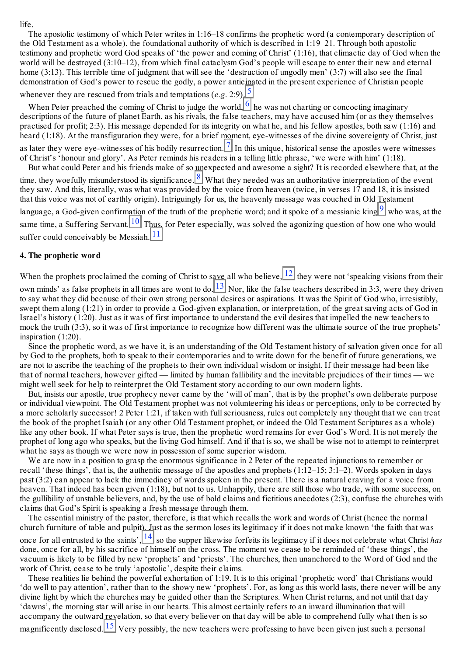life.

The apostolic testimony of which Peter writes in 1:16–18 confirms the prophetic word (a contemporary description of the Old Testament as a whole), the foundational authority of which is described in 1:19–21. Through both apostolic testimony and prophetic word God speaks of 'the power and coming of Christ' (1:16), that climactic day of God when the world will be destroyed (3:10–12), from which final cataclysm God's people will escape to enter their new and eternal home (3:13). This terrible time of judgment that will see the 'destruction of ungodly men' (3:7) will also see the final demonstration of God's power to rescue the godly, a power anticipated in the present experience of Christian people

whenever they are rescued from trials and temptations  $(e.g. 2.9)$ .

When Peter preached the coming of Christ to judge the world,  $\begin{bmatrix} 6 \\ 1 \end{bmatrix}$  he was not charting or concocting imaginary descriptions of the future of planet Earth, as his rivals, the false teachers, may have accused him (or as they themselves practised for profit; 2:3). His message depended for its integrity on what he, and his fellow apostles, both saw (1:16) and heard (1:18). At the transfiguration they were, for a brief moment, eye-witnesses of the divine sovereignty of Christ, just as later they were eye-witnesses of his bodily resurrection.  $\boxed{7}$  In this unique, historical sense the apostles were witnesses of Christ's 'honour and glory'. As Peter reminds his readers in a telling little phrase, 'we were with him' (1:18).

But what could Peter and his friends make of so unexpected and awesome a sight? It is recorded elsewhere that, at the time, they woefully misunderstood its significance.  $\frac{8}{8}$  What they needed was an authoritative interpretation of the event

they saw. And this, literally, was what was provided by the voice from heaven (twice, in verses 17 and 18, it is insisted that this voice was not of earthly origin). Intriguingly for us, the heavenly message was couched in Old Testament

language, a God-given confirmation of the truth of the prophetic word; and it spoke of a messianic king  $\boxed{9}$  who was, at the same time, a Suffering Servant.  $\frac{10}{2}$  Thus, for Peter especially, was solved the agonizing question of how one who would suffer could conceivably be Messiah.  $\frac{11}{11}$ 

#### **4. The prophetic word**

When the prophets proclaimed the coming of Christ to save all who believe,  $\frac{12}{12}$  they were not 'speaking visions from their own minds' as false prophets in all times are wont to do.  $\frac{13}{13}$  Nor, like the false teachers described in 3:3, were they driven to say what they did because of their own strong personal desires or aspirations. It was the Spirit of God who, irresistibly, swept them along (1:21) in order to provide a God-given explanation, or interpretation, of the great saving acts of God in Israel's history (1:20). Just as it was of first importance to understand the evil desires that impelled the new teachers to mock the truth (3:3), so it was of first importance to recognize how different was the ultimate source of the true prophets' inspiration (1:20).

Since the prophetic word, as we have it, is an understanding of the Old Testament history of salvation given once for all by God to the prophets, both to speak to their contemporaries and to write down for the benefit of future generations, we are not to ascribe the teaching of the prophets to their own individual wisdom or insight. If their message had been like that of normal teachers, however gifted — limited by human fallibility and the inevitable prejudices of their times — we might well seek for help to reinterpret the Old Testament story according to our own modern lights.

But, insists our apostle, true prophecy never came by the 'will of man', that is by the prophet's own deliberate purpose or individual viewpoint. The Old Testament prophet was not volunteering his ideas or perceptions, only to be corrected by a more scholarly successor! 2 Peter 1:21, if taken with full seriousness, rules out completely any thought that we can treat the book of the prophet Isaiah (or any other Old Testament prophet, or indeed the Old Testament Scriptures as a whole) like any other book. If what Peter says is true, then the prophetic word remains for ever God's Word. It is not merely the prophet of long ago who speaks, but the living God himself. And if that is so, we shall be wise not to attempt to reinterpret what he says as though we were now in possession of some superior wisdom.

We are now in a position to grasp the enormous significance in 2 Peter of the repeated injunctions to remember or recall 'these things', that is, the authentic message of the apostles and prophets (1:12–15; 3:1–2). Words spoken in days past (3:2) can appear to lack the immediacy of words spoken in the present. There is a natural craving for a voice from heaven. That indeed has been given (1:18), but not to us. Unhappily, there are still those who trade, with some success, on the gullibility of unstable believers, and, by the use of bold claims and fictitious anecdotes (2:3), confuse the churches with claims that God's Spirit is speaking a fresh message through them.

The essential ministry of the pastor, therefore, is that which recalls the work and words of Christ (hence the normal church furniture of table and pulpit). Just as the sermon loses its legitimacy if it does not make known 'the faith that was once for all entrusted to the saints',  $\frac{1}{4}$  so the supper likewise forfeits its legitimacy if it does not celebrate what Christ *has* done, once for all, by his sacrifice of himself on the cross. The moment we cease to be reminded of 'these things', the vacuum is likely to be filled by new 'prophets' and 'priests'. The churches, then unanchored to the Word of God and the work of Christ, cease to be truly 'apostolic', despite their claims.

These realities lie behind the powerful exhortation of 1:19. It is to this original 'prophetic word' that Christians would 'do well to pay attention', rather than to the showy new 'prophets'. For, as long as this world lasts, there never will be any divine light by which the churches may be guided other than the Scriptures. When Christ returns, and not until that day 'dawns', the morning star will arise in our hearts. This almost certainly refers to an inward illumination that will accompany the outward revelation, so that every believer on that day will be able to comprehend fully what then is so

magnificently disclosed.<sup>[15]</sup> Very possibly, the new teachers were professing to have been given just such a personal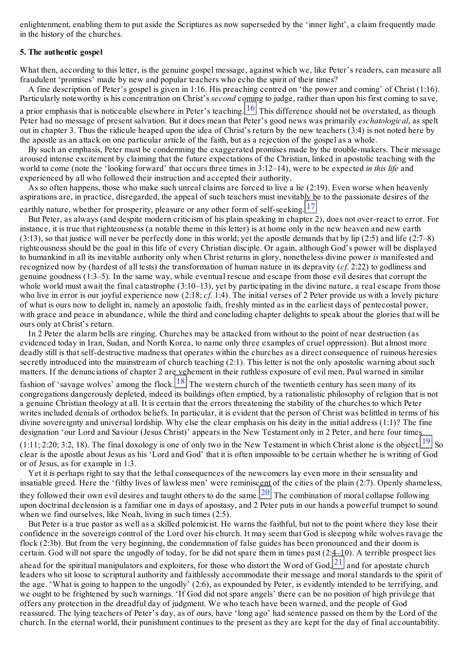enlightenment, enabling them to put aside the Scriptures as now superseded by the 'inner light', a claim frequently made in the history of the churches.

#### **5. The authentic gospel**

What then, according to this letter, is the genuine gospel message, against which we, like Peter's readers, can measure all fraudulent 'promises' made by new and popular teachers who echo the spirit of their times?

A fine description of Peter's gospel is given in 1:16. His preaching centred on 'the power and coming' of Christ (1:16). Particularly noteworthy is his concentration on Christ's *second* coming to judge, rather than upon his first coming to save, a prior emphasis that is noticeable elsewhere in Peter's teaching.  $\frac{|16|}{2}$  This difference should not be overstated, as though Peter had no message of present salvation. But it does mean that Peter's good news was primarily *eschatological*, as spelt out in chapter 3. Thus the ridicule heaped upon the idea of Christ's return by the new teachers (3:4) is not noted here by the apostle as an attack on one particular article of the faith, but as a rejection of the gospel as a whole.

By such an emphasis, Peter must be condemning the exaggerated promises made by the trouble-makers. Their message aroused intense excitement by claiming that the future expectations of the Christian, linked in apostolic teaching with the world to come (note the 'looking forward' that occurs three times in 3:12–14), were to be expected *in this life* and experienced by all who followed their instruction and accepted their authority.

As so often happens, those who make such unreal claims are forced to live a lie (2:19). Even worse when heavenly aspirations are, in practice, disregarded, the appeal of such teachers must inevitably be to the passionate desires of the earthly nature, whether for prosperity, pleasure or any other form of self-seeking.<sup>17</sup>

But Peter, as always (and despite modern criticism of his plain speaking in chapter 2), does not over-react to error. For instance, it is true that righteousness (a notable theme in this letter) is at home only in the new heaven and new earth (3:13), so that justice will never be perfectly done in this world; yet the apostle demands that by lip (2:5) and life (2:7–8) righteousness should be the goal in this life of every Christian disciple. Or again, although God's power will be displayed to humankind in all its inevitable authority only when Christ returns in glory, nonetheless divine power *is* manifested and recognized now by (hardest of all tests) the transformation of human nature in its depravity (*cf*. 2:22) to godliness and genuine goodness (1:3–5). In the same way, while eventual rescue and escape from those evil desires that corrupt the whole world must await the final catastrophe  $(3:10-13)$ , yet by participating in the divine nature, a real escape from those who live in error is our joyful experience now (2:18; *cf*. 1:4). The initial verses of 2 Peter provide us with a lovely picture of what is ours now to delight in, namely an apostolic faith, freshly minted as in the earliest days of pentecostal power, with grace and peace in abundance, while the third and concluding chapter delights to speak about the glories that will be ours only at Christ's return.

In 2 Peter the alarm bells are ringing. Churches may be attacked from without to the point of near destruction (as evidenced today in Iran, Sudan, and North Korea, to name only three examples of cruel oppression). But almost more deadly still is that self-destructive madness that operates within the churches as a direct consequence of ruinous heresies secretly introduced into the mainstream of church teaching (2:1). This letter is not the only apostolic warning about such matters. If the denunciations of chapter 2 are vehement in their ruthless exposure of evil men, Paul warned in similar

fashion of 'savage wolves' among the flock.  $\frac{18}{18}$  The western church of the twentieth century has seen many of its congregations dangerously depleted, indeed its buildings often emptied, by a rationalistic philosophy of religion that is not a genuine Christian theology at all. It is certain that the errors threatening the stability of the churches to which Peter writes included denials of orthodox beliefs. In particular, it is evident that the person of Christ was belittled in terms of his divine sovereignty and universal lordship. Why else the clear emphasis on his deity in the initial address (1:1)? The fine designation 'our Lord and Saviour (Jesus Christ)' appears in the New Testament only in 2 Peter, and here four times

 $(1:11; 2:20; 3:2, 18)$ . The final doxology is one of only two in the New Testament in which Christ alone is the object.  $\frac{19}{19}$  So clear is the apostle about Jesus as his 'Lord and God' that it is often impossible to be certain whether he is writing of God or of Jesus, as for example in 1:3.

Yet it is perhaps right to say that the lethal consequences of the newcomers lay even more in their sensuality and insatiable greed. Here the 'filthy lives of lawless men' were reminiscent of the cities of the plain (2:7). Openly shameless, they followed their own evil desires and taught others to do the same.  $\boxed{20}$  The combination of moral collapse following upon doctrinal declension is a familiar one in days of apostasy, and 2 Peter puts in our hands a powerful trumpet to sound when we find ourselves, like Noah, living in such times  $(2:5)$ .

But Peter is a true pastor as well as a skilled polemicist. He warns the faithful, but not to the point where they lose their confidence in the sovereign control of the Lord over his church. It may seem that God is sleeping while wolves ravage the flock (2:3b). But from the very beginning, the condemnation of false guides has been pronounced and their doom is certain. God will not spare the ungodly of today, for he did not spare them in times past  $(2:4–10)$ . A terrible prospect lies

ahead for the spiritual manipulators and exploiters, for those who distort the Word of God,  $21$  and for apostate church leaders who sit loose to scriptural authority and faithlessly accommodate their message and moral standards to the spirit of the age. 'What is going to happen to the ungodly' (2:6), as expounded by Peter, is evidently intended to be terrifying, and we ought to be frightened by such warnings. 'If God did not spare angels' there can be no position of high privilege that offers any protection in the dreadful day of judgment. We who teach have been warned, and the people of God reassured. The lying teachers of Peter's day, as of ours, have 'long ago' had sentence passed on them by the Lord of the church. In the eternal world, their punishment continues to the present as they are kept for the day of final accountability.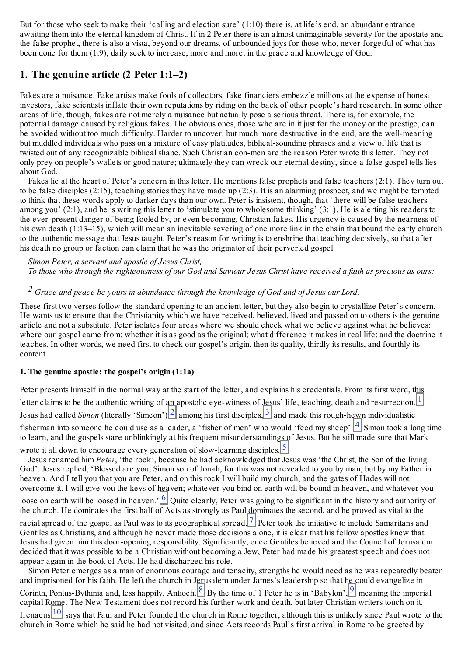But for those who seek to make their 'calling and election sure' (1:10) there is, at life's end, an abundant entrance awaiting them into the eternal kingdom of Christ. If in 2 Peter there is an almost unimaginable severity for the apostate and the false prophet, there is also a vista, beyond our dreams, of unbounded joys for those who, never forgetful of what has been done for them (1:9), daily seek to increase, more and more, in the grace and knowledge of God.

# **1. The genuine article (2 Peter 1:1–2)**

Fakes are a nuisance. Fake artists make fools of collectors, fake financiers embezzle millions at the expense of honest investors, fake scientists inflate their own reputations by riding on the back of other people's hard research. In some other areas of life, though, fakes are not merely a nuisance but actually pose a serious threat. There is, for example, the potential damage caused by religious fakes. The obvious ones, those who are in it just for the money or the prestige, can be avoided without too much difficulty. Harder to uncover, but much more destructive in the end, are the well-meaning but muddled individuals who pass on a mixture of easy platitudes, biblical-sounding phrases and a view of life that is twisted out of any recognizable biblical shape. Such Christian con-men are the reason Peter wrote this letter. They not only prey on people's wallets or good nature; ultimately they can wreck our eternal destiny, since a false gospel tells lies about God.

Fakes lie at the heart of Peter's concern in this letter. He mentions false prophets and false teachers (2:1). They turn out to be false disciples  $(2:15)$ , teaching stories they have made up  $(2:3)$ . It is an alarming prospect, and we might be tempted to think that these words apply to darker days than our own. Peter is insistent, though, that 'there will be false teachers among you' (2:1), and he is writing this letter to 'stimulate you to wholesome thinking' (3:1). He is alerting his readers to the ever-present danger of being fooled by, or even becoming, Christian fakes. His urgency is caused by the nearness of his own death (1:13–15), which will mean an inevitable severing of one more link in the chain that bound the early church to the authentic message that Jesus taught. Peter's reason for writing is to enshrine that teaching decisively, so that after his death no group or faction can claim that he was the originator of their perverted gospel.

*Simon Peter, a servant and apostle of Jesus Christ, To those who through the righteousness of our God and Saviour Jesus Christ have received a faith as precious as ours:*

# *2 Grace and peace be yours in abundance through the knowledge of God and of Jesus our Lord.*

These first two verses follow the standard opening to an ancient letter, but they also begin to crystallize Peter's concern. He wants us to ensure that the Christianity which we have received, believed, lived and passed on to others is the genuine article and not a substitute. Peter isolates four areas where we should check what we believe against what he believes: where our gospel came from; whether it is as good as the original; what difference it makes in real life; and the doctrine it teaches. In other words, we need first to check our gospel's origin, then its quality, thirdly its results, and fourthly its content.

#### **1. The genuine apostle: the gospel's origin (1:1a)**

Peter presents himself in the normal way at the start of the letter, and explains his credentials. From its first word, this letter claims to be the authentic writing of an apostolic eye-witness of Jesus' life, teaching, death and resurrection. Jesus had called *Simon* (literally 'Simeon') <sup>2</sup> among his first disciples.<sup>[3]</sup> and made this rough-hewn individualistic fisherman into someone he could use as a leader, a 'fisher of men' who would 'feed my sheep'.  $\frac{4}{1}$  Simon took a long time to learn, and the gospels stare unblinkingly at his frequent misunderstandings of Jesus. But he still made sure that Mark wrote it all down to encourage every generation of slow-learning disciples.<sup>5</sup>

Jesus renamed him *Peter*, 'the rock', because he had acknowledged that Jesus was 'the Christ, the Son of the living God'. Jesus replied, 'Blessed are you, Simon son of Jonah, for this was not revealed to you by man, but by my Father in heaven. And I tell you that you are Peter, and on this rock I will build my church, and the gates of Hades will not overcome it. I will give you the keys of heaven; whatever you bind on earth will be bound in heaven, and whatever you loose on earth will be loosed in heaven.' $\frac{16}{2}$  Quite clearly, Peter was going to be significant in the history and authority of the church. He dominates the first half of Acts as strongly as Paul dominates the second, and he proved as vital to the racial spread of the gospel as Paul was to its geographical spread.<sup>7</sup> Peter took the initiative to include Samaritans and Gentiles as Christians, and although he never made those decisions alone, it is clear that his fellow apostles knew that Jesus had given him this door-opening responsibility. Significantly, once Gentiles believed and the Council of Jerusalem decided that it was possible to be a Christian without becoming a Jew, Peter had made his greatest speech and does not appear again in the book of Acts. He had discharged his role.

Simon Peter emerges as a man of enormous courage and tenacity, strengths he would need as he was repeatedly beaten and imprisoned for his faith. He left the church in Jerusalem under James's leadership so that he could evangelize in Corinth, Pontus-Bythinia and, less happily, Antioch.  $8 \text{ By the time of 1 Peter he is in 'Babylon'.}$  meaning the imperial capital Rome. The New Testament does not record his further work and death, but later Christian writers touch on it. Irenaeus 10 says that Paul and Peter founded the church in Rome together, although this is unlikely since Paul wrote to the church in Rome which he said he had not visited, and since Acts records Paul's first arrival in Rome to be greeted by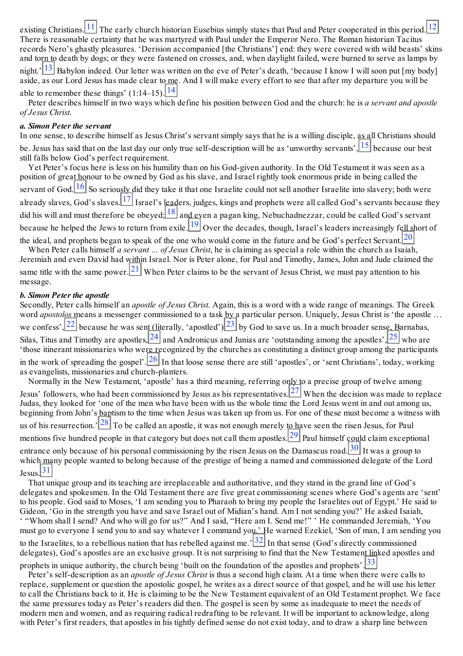existing Christians.  $11$  The early church historian Eusebius simply states that Paul and Peter cooperated in this period.  $12$ There is reasonable certainty that he was martyred with Paul under the Emperor Nero. The Roman historian Tacitus records Nero's ghastly pleasures. 'Derision accompanied [the Christians'] end: they were covered with wild beasts' skins and torn to death by dogs; or they were fastened on crosses, and, when daylight failed, were burned to serve as lamps by night.<sup> $13$ </sup> Babylon indeed. Our letter was written on the eve of Peter's death, 'because I know I will soon put [my body] aside, as our Lord Jesus has made clear to me. And I will make every effort to see that after my departure you will be able to remember these things'  $(1:14-15)$ . 14

Peter describes himself in two ways which define his position between God and the church: he is *a servant and apostle of Jesus Christ*.

#### *a. Simon Peter the servant*

In one sense, to describe himself as Jesus Christ's servant simply says that he is a willing disciple, as all Christians should be. Jesus has said that on the last day our only true self-description will be as 'unworthy servants'  $\frac{115}{15}$  because our best still falls below God's perfect requirement.

Yet Peter's focus here is less on his humility than on his God-given authority. In the Old Testament it was seen as a position of great honour to be owned by God as his slave, and Israel rightly took enormous pride in being called the servant of God.  $\frac{16}{6}$  So seriously did they take it that one Israelite could not sell another Israelite into slavery; both were already slaves, God's slaves.  $\frac{17}{12}$  Israel's leaders, judges, kings and prophets were all called God's servants because they did his will and must therefore be obeyed;  $\frac{18}{2}$  and even a pagan king, Nebuchadnezzar, could be called God's servant because he helped the Jews to return from exile.  $\frac{19}{20}$  Over the decades, though, Israel's leaders increasingly fell short of the ideal, and prophets began to speak of the one who would come in the future and be God's perfect Servant.  $|^{20}$ 

When Peter calls himself *a servant … of Jesus Christ*, he is claiming as special a role within the church as Isaiah, Jeremiah and even David had within Israel. Nor is Peter alone, for Paul and Timothy, James, John and Jude claimed the same title with the same power.  $[21]$  When Peter claims to be the servant of Jesus Christ, we must pay attention to his message.

#### *b. Simon Peter the apostle*

Secondly, Peter calls himself an *apostle of Jesus Christ*. Again, this is a word with a wide range of meanings. The Greek word *apostolos* means a messenger commissioned to a task by a particular person. Uniquely, Jesus Christ is 'the apostle ... we confess',  $|22|$  because he was sent (literally, 'apostled')  $|23|$  by God to save us. In a much broader sense, Barnabas, Silas, Titus and Timothy are apostles,  $\frac{24}{4}$  and Andronicus and Junias are 'outstanding among the apostles',  $\frac{25}{125}$  who are 'those itinerant missionaries who were recognized by the churches as constituting a distinct group among the participants in the work of spreading the gospel'.  $\frac{26}{10}$  In that loose sense there are still 'apostles', or 'sent Christians', today, working as evangelists, missionaries and church-planters.

Normally in the New Testament, 'apostle' has a third meaning, referring only to a precise group of twelve among Jesus' followers, who had been commissioned by Jesus as his representatives.  $\frac{27}{27}$  When the decision was made to replace Judas, they looked for 'one of the men who have been with us the whole time the Lord Jesus went in and out among us, beginning from John's baptism to the time when Jesus was taken up from us. For one of these must become a witness with us of his resurrection.'  $\frac{28}{10}$  To be called an apostle, it was not enough merely to have seen the risen Jesus, for Paul mentions five hundred people in that category but does not call them apostles.  $\frac{29}{2}$  Paul himself could claim exceptional entrance only because of his personal commissioning by the risen Jesus on the Damascus road.<sup>[30]</sup> It was a group to which many people wanted to belong because of the prestige of being a named and commissioned delegate of the Lord  $J_{\text{esus}}$  31

That unique group and its teaching are irreplaceable and authoritative, and they stand in the grand line of God's delegates and spokesmen. In the Old Testament there are five great commissioning scenes where God's agents are 'sent' to his people. God said to Moses, 'I am sending you to Pharaoh to bring my people the Israelites out of Egypt.' He said to Gideon, 'Go in the strength you have and save Israel out of Midian's hand. Am I not sending you?' He asked Isaiah, ' "Whom shall I send? And who will go for us?" And I said, "Here am I. Send me!" ' He commanded Jeremiah, 'You must go to everyone I send you to and say whatever I command you.' He warned Ezekiel, 'Son of man, I am sending you to the Israelites, to a rebellious nation that has rebelled against me.' $\frac{32}{2}$  In that sense (God's directly commissioned delegates), God's apostles are an exclusive group. It is not surprising to find that the New Testament linked apostles and

prophets in unique authority, the church being 'built on the foundation of the apostles and prophets'.

Peter's self-description as an *apostle of Jesus Christ* is thus a second high claim. At a time when there were calls to replace, supplement or question the apostolic gospel, he writes as a direct source of that gospel, and he will use his letter to call the Christians back to it. He is claiming to be the New Testament equivalent of an Old Testament prophet. We face the same pressures today as Peter's readers did then. The gospel is seen by some as inadequate to meet the needs of modern men and women, and as requiring radical redrafting to be relevant. It will be important to acknowledge, along with Peter's first readers, that apostles in his tightly defined sense do not exist today, and to draw a sharp line between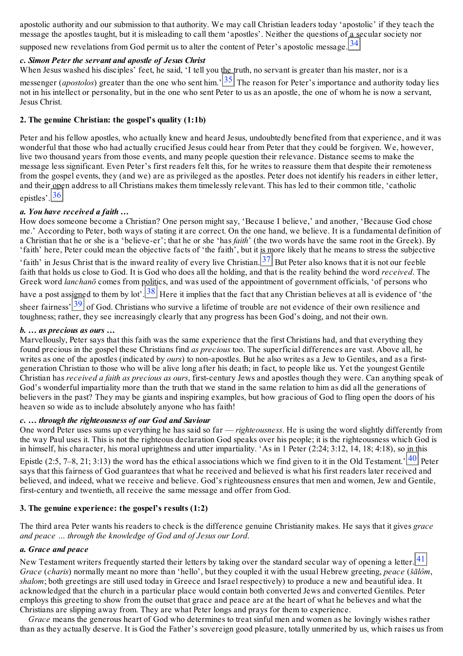apostolic authority and our submission to that authority. We may call Christian leaders today 'apostolic' if they teach the message the apostles taught, but it is misleading to call them 'apostles'. Neither the questions of a secular society nor

supposed new revelations from God permit us to alter the content of Peter's apostolic message.  $34$ 

#### *c. Simon Peter the servant and apostle of Jesus Christ*

When Jesus washed his disciples' feet, he said, 'I tell you the truth, no servant is greater than his master, nor is a

messenger (*apostolos*) greater than the one who sent him.<sup>3</sup> <sup>35</sup> The reason for Peter's importance and authority today lies not in his intellect or personality, but in the one who sent Peter to us as an apostle, the one of whom he is now a servant, Jesus Christ.

#### **2. The genuine Christian: the gospel's quality (1:1b)**

Peter and his fellow apostles, who actually knew and heard Jesus, undoubtedly benefited from that experience, and it was wonderful that those who had actually crucified Jesus could hear from Peter that they could be forgiven. We, however, live two thousand years from those events, and many people question their relevance. Distance seems to make the message less significant. Even Peter's first readers felt this, for he writes to reassure them that despite their remoteness from the gospel events, they (and we) are as privileged as the apostles. Peter does not identify his readers in either letter, and their open address to all Christians makes them timelessly relevant. This has led to their common title, 'catholic epistles' $|36$ 

#### *a. You have received a faith …*

How does someone become a Christian? One person might say, 'Because I believe,' and another, 'Because God chose me.' According to Peter, both ways of stating it are correct. On the one hand, we believe. It is a fundamental definition of a Christian that he or she is a 'believe-er'; that he or she 'has *faith*' (the two words have the same root in the Greek). By 'faith' here, Peter could mean the objective facts of 'the faith', but it is more likely that he means to stress the subjective 'faith' in Jesus Christ that is the inward reality of every live Christian.  $\frac{37}{8}$  But Peter also knows that it is not our feeble faith that holds us close to God. It is God who does all the holding, and that is the reality behind the word *received*. The Greek word *lanchanō* comes from politics, and was used of the appointment of government officials, 'of persons who have a post assigned to them by lot'.  $\frac{38}{18}$  Here it implies that the fact that any Christian believes at all is evidence of 'the sheer fairness' 39 of God. Christians who survive a lifetime of trouble are not evidence of their own resilience and toughness; rather, they see increasingly clearly that any progress has been God's doing, and not their own.

#### *b. … as precious as ours …*

Marvellously, Peter says that this faith was the same experience that the first Christians had, and that everything they found precious in the gospel these Christians find *as precious* too. The superficial differences are vast. Above all, he writes as one of the apostles (indicated by *ours*) to non-apostles. But he also writes as a Jew to Gentiles, and as a firstgeneration Christian to those who will be alive long after his death; in fact, to people like us. Yet the youngest Gentile Christian has *received a faith as precious as ours*, first-century Jews and apostles though they were. Can anything speak of God's wonderful impartiality more than the truth that we stand in the same relation to him as did all the generations of believers in the past? They may be giants and inspiring examples, but how gracious of God to fling open the doors of his heaven so wide as to include absolutely anyone who has faith!

#### *c. … through the righteousness of our God and Saviour*

One word Peter uses sums up everything he has said so far — *righteousness*. He is using the word slightly differently from the way Paul uses it. This is not the righteous declaration God speaks over his people; it is the righteousness which God is in himself, his character, his moral uprightness and utter impartiality. 'As in 1 Peter (2:24; 3:12, 14, 18; 4:18), so in this

Epistle (2:5, 7–8, 21; 3:13) the word has the ethical associations which we find given to it in the Old Testament.<sup>1</sup>  $\frac{40}{1}$  Peter says that this fairness of God guarantees that what he received and believed is what his first readers later received and believed, and indeed, what we receive and believe. God's righteousness ensures that men and women, Jew and Gentile, first-century and twentieth, all receive the same message and offer from God.

#### **3. The genuine experience: the gospel's results (1:2)**

The third area Peter wants his readers to check is the difference genuine Christianity makes. He says that it gives *grace and peace … through the knowledge of God and of Jesus our Lord*.

#### *a. Grace and peace*

New Testament writers frequently started their letters by taking over the standard secular way of opening a letter. $\frac{|4|}{\sqrt{2}}$ *Grace* (*charis*) normally meant no more than 'hello', but they coupled it with the usual Hebrew greeting, *peace* (*šālôm*, *shalom*; both greetings are still used today in Greece and Israel respectively) to produce a new and beautiful idea. It acknowledged that the church in a particular place would contain both converted Jews and converted Gentiles. Peter employs this greeting to show from the outset that grace and peace are at the heart of what he believes and what the Christians are slipping away from. They are what Peter longs and prays for them to experience.

*Grace* means the generous heart of God who determines to treat sinful men and women as he lovingly wishes rather than as they actually deserve. It is God the Father's sovereign good pleasure, totally unmerited by us, which raises us from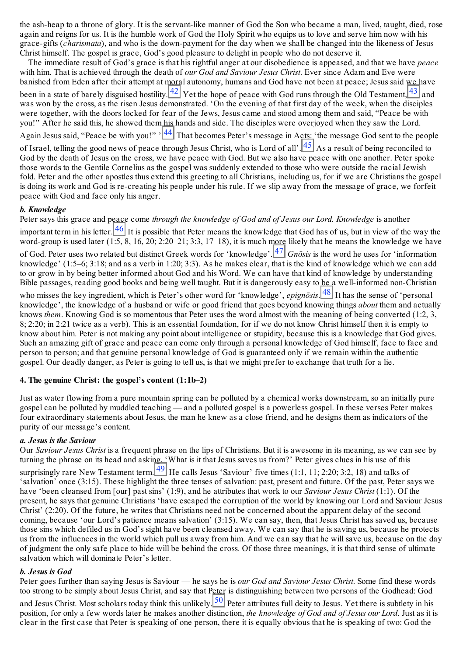the ash-heap to a throne of glory. It is the servant-like manner of God the Son who became a man, lived, taught, died, rose again and reigns for us. It is the humble work of God the Holy Spirit who equips us to love and serve him now with his grace-gifts (*charismata*), and who is the down-payment for the day when we shall be changed into the likeness of Jesus Christ himself. The gospel is grace, God's good pleasure to delight in people who do not deserve it.

The immediate result of God's grace is that his rightful anger at our disobedience is appeased, and that we have *peace* with him. That is achieved through the death of *our God and Saviour Jesus Christ*. Ever since Adam and Eve were banished from Eden after their attempt at moral autonomy, humans and God have not been at peace; Jesus said we have been in a state of barely disguised hostility.  $\frac{12}{2}$  Yet the hope of peace with God runs through the Old Testament,  $\frac{143}{2}$  and was won by the cross, as the risen Jesus demonstrated. 'On the evening of that first day of the week, when the disciples were together, with the doors locked for fear of the Jews, Jesus came and stood among them and said, "Peace be with you!" After he said this, he showed them his hands and side. The disciples were overjoyed when they saw the Lord.

Again Jesus said, "Peace be with you!"  $\frac{144}{100}$  That becomes Peter's message in Acts: 'the message God sent to the people

of Israel, telling the good news of peace through Jesus Christ, who is Lord of all  $\frac{45}{5}$  As a result of being reconciled to God by the death of Jesus on the cross, we have peace with God. But we also have peace with one another. Peter spoke those words to the Gentile Cornelius as the gospel was suddenly extended to those who were outside the racial Jewish fold. Peter and the other apostles thus extend this greeting to all Christians, including us, for if we are Christians the gospel is doing its work and God is re-creating his people under his rule. If we slip away from the message of grace, we forfeit peace with God and face only his anger.

#### *b. Knowledge*

Peter says this grace and peace come *through the knowledge of God and of Jesus our Lord. Knowledge* is another important term in his letter.  $\frac{46}{1}$  It is possible that Peter means the knowledge that God has of us, but in view of the way the word-group is used later  $(1.5, 8, 16, 20, 2.20-21, 3.3, 17-18)$ , it is much more likely that he means the knowledge we have of God. Peter uses two related but distinct Greek words for 'knowledge'. 47 *Gnōsis* is the word he uses for 'information knowledge' (1:5–6; 3:18; and as a verb in 1:20; 3:3). As he makes clear, that is the kind of knowledge which we can add to or grow in by being better informed about God and his Word. We can have that kind of knowledge by understanding Bible passages, reading good books and being well taught. But it is dangerously easy to be a well-informed non-Christian who misses the key ingredient, which is Peter's other word for 'knowledge', *epignosis*. <sup>[48]</sup> It has the sense of 'personal knowledge', the knowledge of a husband or wife or good friend that goes beyond knowing things *about* them and actually knows *them*. Knowing God is so momentous that Peter uses the word almost with the meaning of being converted (1:2, 3, 8; 2:20; in 2:21 twice as a verb). This is an essential foundation, for if we do not know Christ himself then it is empty to know about him. Peter is not making any point about intelligence or stupidity, because this is a knowledge that God gives. Such an amazing gift of grace and peace can come only through a personal knowledge of God himself, face to face and person to person; and that genuine personal knowledge of God is guaranteed only if we remain within the authentic gospel. Our deadly danger, as Peter is going to tell us, is that we might prefer to exchange that truth for a lie.

#### **4. The genuine Christ: the gospel's content (1:1b–2)**

Just as water flowing from a pure mountain spring can be polluted by a chemical works downstream, so an initially pure gospel can be polluted by muddled teaching — and a polluted gospel is a powerless gospel. In these verses Peter makes four extraordinary statements about Jesus, the man he knew as a close friend, and he designs them as indicators of the purity of our message's content.

#### *a. Jesus is the Saviour*

Our *Saviour Jesus Christ* is a frequent phrase on the lips of Christians. But it is awesome in its meaning, as we can see by turning the phrase on its head and asking, 'What is it that Jesus saves us from?' Peter gives clues in his use of this surprisingly rare New Testament term.  $\frac{49}{4}$  He calls Jesus 'Saviour' five times (1:1, 11; 2:20; 3:2, 18) and talks of 'salvation' once (3:15). These highlight the three tenses of salvation: past, present and future. Of the past, Peter says we have 'been cleansed from [our] past sins' (1:9), and he attributes that work to our *Saviour Jesus Christ* (1:1). Of the present, he says that genuine Christians 'have escaped the corruption of the world by knowing our Lord and Saviour Jesus Christ' (2:20). Of the future, he writes that Christians need not be concerned about the apparent delay of the second coming, because 'our Lord's patience means salvation' (3:15). We can say, then, that Jesus Christ has saved us, because those sins which defiled us in God's sight have been cleansed away. We can say that he is saving us, because he protects us from the influences in the world which pull us away from him. And we can say that he will save us, because on the day of judgment the only safe place to hide will be behind the cross. Of those three meanings, it is that third sense of ultimate salvation which will dominate Peter's letter

#### *b. Jesus is God*

Peter goes further than saying Jesus is Saviour — he says he is *our God and Saviour Jesus Christ*. Some find these words too strong to be simply about Jesus Christ, and say that Peter is distinguishing between two persons of the Godhead: God

and Jesus Christ. Most scholars today think this unlikely. **50** Peter attributes full deity to Jesus. Yet there is subtlety in his position, for only a few words later he makes another distinction, *the knowledge of God and of Jesus our Lord*. Just as it is clear in the first case that Peter is speaking of one person, there it is equally obvious that he is speaking of two: God the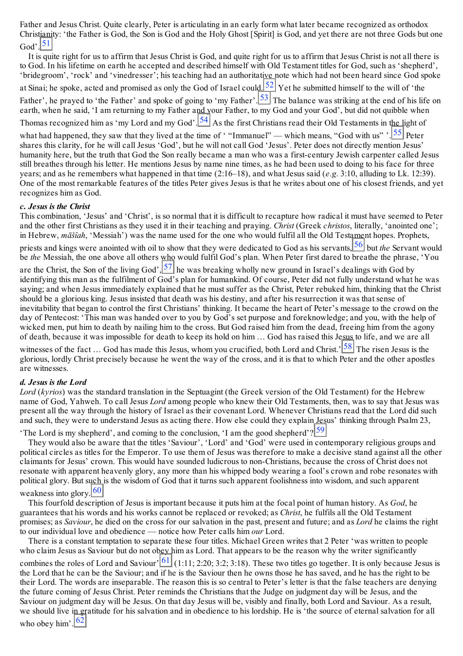Father and Jesus Christ. Quite clearly, Peter is articulating in an early form what later became recognized as orthodox Christianity: 'the Father is God, the Son is God and the Holy Ghost [Spirit] is God, and yet there are not three Gods but one God' $|51$ 

It is quite right for us to affirm that Jesus Christ is God, and quite right for us to affirm that Jesus Christ is not all there is to God. In his lifetime on earth he accepted and described himself with Old Testament titles for God, such as 'shepherd', 'bridegroom', 'rock' and 'vinedresser'; his teaching had an authoritative note which had not been heard since God spoke at Sinai; he spoke, acted and promised as only the God of Israel could.  $\frac{|52|}{2}$  Yet he submitted himself to the will of 'the Father', he prayed to 'the Father' and spoke of going to 'my Father'.  $\frac{53}{2}$  The balance was striking at the end of his life on earth, when he said, 'I am returning to my Father and your Father, to my God and your God', but did not quibble when Thomas recognized him as 'my Lord and my God'.  $\frac{|54|}{\text{As}}$  he first Christians read their Old Testaments in the light of

what had happened, they saw that they lived at the time of ' "Immanuel" — which means, "God with us"  $\frac{55}{5}$  Peter shares this clarity, for he will call Jesus 'God', but he will not call God 'Jesus'. Peter does not directly mention Jesus' humanity here, but the truth that God the Son really became a man who was a first-century Jewish carpenter called Jesus still breathes through his letter. He mentions Jesus by name nine times, as he had been used to doing to his face for three years; and as he remembers what happened in that time (2:16–18), and what Jesus said (*e.g*. 3:10, alluding to Lk. 12:39). One of the most remarkable features of the titles Peter gives Jesus is that he writes about one of his closest friends, and yet recognizes him as God.

#### *c. Jesus is the Christ*

This combination, 'Jesus' and 'Christ', is so normal that it is difficult to recapture how radical it must have seemed to Peter and the other first Christians as they used it in their teaching and praying. *Christ* (Greek *christos*, literally, 'anointed one'; in Hebrew, *māšîah*, 'Messiah') was the name used for the one who would fulfil all the Old Testament hopes. Prophets,

priests and kings were anointed with oil to show that they were dedicated to God as his servants, <sup>56</sup> but *the* Servant would be *the* Messiah, the one above all others who would fulfil God's plan. When Peter first dared to breathe the phrase, 'You are the Christ, the Son of the living God',  $\frac{|57|}{2}$  he was breaking wholly new ground in Israel's dealings with God by

identifying this man as the fulfilment of God's plan for humankind. Of course, Peter did not fully understand what he was saying; and when Jesus immediately explained that he must suffer as the Christ, Peter rebuked him, thinking that the Christ should be a glorious king. Jesus insisted that death was his destiny, and after his resurrection it was that sense of inevitability that began to control the first Christians' thinking. It became the heart of Peter's message to the crowd on the day of Pentecost: 'This man was handed over to you by God's set purpose and foreknowledge; and you, with the help of wicked men, put him to death by nailing him to the cross. But God raised him from the dead, freeing him from the agony of death, because it was impossible for death to keep its hold on him … God has raised this Jesus to life, and we are all

witnesses of the fact ... God has made this Jesus, whom you crucified, both Lord and Christ.<sup>'</sup>  $[58]$  The risen Jesus is the glorious, lordly Christ precisely because he went the way of the cross, and it is that to which Peter and the other apostles are witnesses.

#### *d. Jesus is the Lord*

*Lord* (*kyrios*) was the standard translation in the Septuagint (the Greek version of the Old Testament) for the Hebrew name of God, Yahweh. To call Jesus *Lord* among people who knew their Old Testaments, then, was to say that Jesus was present all the way through the history of Israel as their covenant Lord. Whenever Christians read that the Lord did such and such, they were to understand Jesus as acting there. How else could they explain Jesus' thinking through Psalm 23,

'The Lord is my shepherd', and coming to the conclusion, 'I am the good shepherd'?  $|59$ 

They would also be aware that the titles 'Saviour', 'Lord' and 'God' were used in contemporary religious groups and political circles as titles for the Emperor. To use them of Jesus was therefore to make a decisive stand against all the other claimants for Jesus' crown. This would have sounded ludicrous to non-Christians, because the cross of Christ does not resonate with apparent heavenly glory, any more than his whipped body wearing a fool's crown and robe resonates with political glory. But such is the wisdom of God that it turns such apparent foolishness into wisdom, and such apparent weakness into glory. $\boxed{60}$ 

This fourfold description of Jesus is important because it puts him at the focal point of human history. As *God*, he guarantees that his words and his works cannot be replaced or revoked; as *Christ*, he fulfils all the Old Testament promises; as *Saviour*, he died on the cross for our salvation in the past, present and future; and as *Lord* he claims the right to our individual love and obedience — notice how Peter calls him *our* Lord.

There is a constant temptation to separate these four titles. Michael Green writes that 2 Peter 'was written to people who claim Jesus as Saviour but do not obey him as Lord. That appears to be the reason why the writer significantly combines the roles of Lord and Saviour'  $\frac{61}{111}$ ; 2:20; 3:2; 3:18). These two titles go together. It is only because Jesus is the Lord that he can be the Saviour; and if he is the Saviour then he owns those he has saved, and he has the right to be their Lord. The words are inseparable. The reason this is so central to Peter's letter is that the false teachers are denying the future coming of Jesus Christ. Peter reminds the Christians that the Judge on judgment day will be Jesus, and the Saviour on judgment day will be Jesus. On that day Jesus will be, visibly and finally, both Lord and Saviour. As a result, we should live in gratitude for his salvation and in obedience to his lordship. He is 'the source of eternal salvation for all who obey him'. $\sqrt{62}$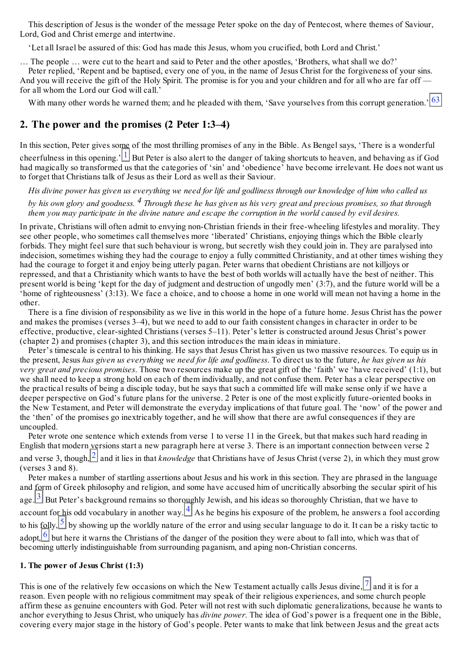This description of Jesus is the wonder of the message Peter spoke on the day of Pentecost, where themes of Saviour, Lord, God and Christ emerge and intertwine.

'Let all Israel be assured of this: God has made this Jesus, whom you crucified, both Lord and Christ.'

… The people … were cut to the heart and said to Peter and the other apostles, 'Brothers, what shall we do?' Peter replied, 'Repent and be baptised, every one of you, in the name of Jesus Christ for the forgiveness of your sins.

And you will receive the gift of the Holy Spirit. The promise is for you and your children and for all who are far off for all whom the Lord our God will call.'

With many other words he warned them; and he pleaded with them, 'Save yourselves from this corrupt generation.'  $\sqrt{63}$ 

### **2. The power and the promises (2 Peter 1:3–4)**

In this section, Peter gives some of the most thrilling promises of any in the Bible. As Bengel says, 'There is a wonderful cheerfulness in this opening.'  $\frac{1}{2}$  But Peter is also alert to the danger of taking shortcuts to heaven, and behaving as if God had magically so transformed us that the categories of 'sin' and 'obedience' have become irrelevant. He does not want us to forget that Christians talk of Jesus as their Lord as well as their Saviour.

*His divine power has given us everything we need for life and godliness through our knowledge of him who called us*

*by his own glory and goodness. 4 Through these he has given us his very great and precious promises, so that through them you may participate in the divine nature and escape the corruption in the world caused by evil desires.*

In private, Christians will often admit to envying non-Christian friends in their free-wheeling lifestyles and morality. They see other people, who sometimes call themselves more 'liberated' Christians, enjoying things which the Bible clearly forbids. They might feel sure that such behaviour is wrong, but secretly wish they could join in. They are paralysed into indecision, sometimes wishing they had the courage to enjoy a fully committed Christianity, and at other times wishing they had the courage to forget it and enjoy being utterly pagan. Peter warns that obedient Christians are not killjoys or repressed, and that a Christianity which wants to have the best of both worlds will actually have the best of neither. This present world is being 'kept for the day of judgment and destruction of ungodly men' (3:7), and the future world will be a 'home of righteousness' (3:13). We face a choice, and to choose a home in one world will mean not having a home in the other.

There is a fine division of responsibility as we live in this world in the hope of a future home. Jesus Christ has the power and makes the promises (verses 3–4), but we need to add to our faith consistent changes in character in order to be effective, productive, clear-sighted Christians (verses 5–11). Peter's letter is constructed around Jesus Christ's power (chapter 2) and promises (chapter 3), and this section introduces the main ideas in miniature.

Peter's timescale is central to his thinking. He says that Jesus Christ has given us two massive resources. To equip us in the present, Jesus *has given us everything we need for life and godliness*. To direct us to the future, *he has given us his very great and precious promises*. Those two resources make up the great gift of the 'faith' we 'have received' (1:1), but we shall need to keep a strong hold on each of them individually, and not confuse them. Peter has a clear perspective on the practical results of being a disciple today, but he says that such a committed life will make sense only if we have a deeper perspective on God's future plans for the universe. 2 Peter is one of the most explicitly future-oriented books in the New Testament, and Peter will demonstrate the everyday implications of that future goal. The 'now' of the power and the 'then' of the promises go inextricably together, and he will show that there are awful consequences if they are uncoupled.

Peter wrote one sentence which extends from verse 1 to verse 11 in the Greek, but that makes such hard reading in English that modern versions start a new paragraph here at verse 3. There is an important connection between verse 2 and verse 3, though, <sup>2</sup> and it lies in that *knowledge* that Christians have of Jesus Christ (verse 2), in which they must grow (verses 3 and 8).

Peter makes a number of startling assertions about Jesus and his work in this section. They are phrased in the language and form of Greek philosophy and religion, and some have accused him of uncritically absorbing the secular spirit of his age.  $\frac{3}{2}$  But Peter's background remains so thoroughly Jewish, and his ideas so thoroughly Christian, that we have to account for his odd vocabulary in another way.  $\frac{4}{5}$  As he begins his exposure of the problem, he answers a fool according to his folly,  $\frac{|S|}{|S|}$  by showing up the worldly nature of the error and using secular language to do it. It can be a risky tactic to adopt.  $\vert$ <sup>6</sup> but here it warns the Christians of the danger of the position they were about to fall into, which was that of becoming utterly indistinguishable from surrounding paganism, and aping non-Christian concerns.

#### **1. The power of Jesus Christ (1:3)**

This is one of the relatively few occasions on which the New Testament actually calls Jesus divine,  $\frac{1}{2}$  and it is for a reason. Even people with no religious commitment may speak of their religious experiences, and some church people affirm these as genuine encounters with God. Peter will not rest with such diplomatic generalizations, because he wants to anchor everything to Jesus Christ, who uniquely has *divine power*. The idea of God's power is a frequent one in the Bible, covering every major stage in the history of God's people. Peter wants to make that link between Jesus and the great acts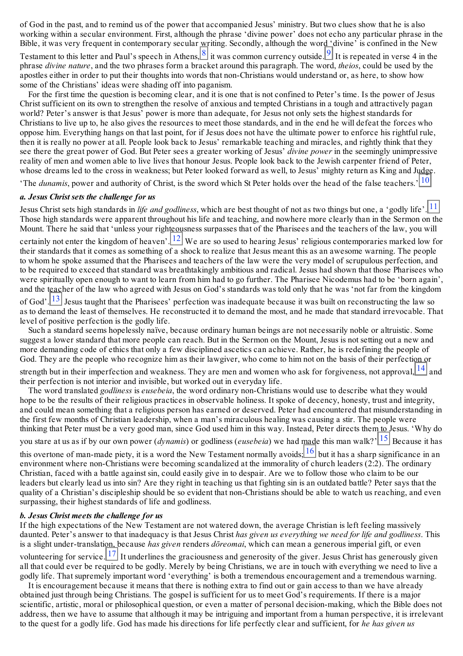of God in the past, and to remind us of the power that accompanied Jesus' ministry. But two clues show that he is also working within a secular environment. First, although the phrase 'divine power' does not echo any particular phrase in the Bible, it was very frequent in contemporary secular writing. Secondly, although the word 'divine' is confined in the New Testament to this letter and Paul's speech in Athens,  $|8|$  it was common currency outside.  $|9|$  It is repeated in verse 4 in the phrase *divine nature*, and the two phrases form a bracket around this paragraph. The word, *theios*, could be used by the apostles either in order to put their thoughts into words that non-Christians would understand or, as here, to show how some of the Christians' ideas were shading off into paganism.

For the first time the question is becoming clear, and it is one that is not confined to Peter's time. Is the power of Jesus Christ sufficient on its own to strengthen the resolve of anxious and tempted Christians in a tough and attractively pagan world? Peter's answer is that Jesus' power is more than adequate, for Jesus not only sets the highest standards for Christians to live up to, he also gives the resources to meet those standards, and in the end he will defeat the forces who oppose him. Everything hangs on that last point, for if Jesus does not have the ultimate power to enforce his rightful rule, then it is really no power at all. People look back to Jesus' remarkable teaching and miracles, and rightly think that they see there the great power of God. But Peter sees a greater working of Jesus' *divine power* in the seemingly unimpressive reality of men and women able to live lives that honour Jesus. People look back to the Jewish carpenter friend of Peter, whose dreams led to the cross in weakness; but Peter looked forward as well, to Jesus' mighty return as King and Judge.

<sup>'</sup>The *dunamis*, power and authority of Christ, is the sword which St Peter holds over the head of the false teachers.' <sup>10</sup>

#### *a. Jesus Christ sets the challenge for us*

Jesus Christ sets high standards in *life and godliness*, which are best thought of not as two things but one, a 'godly life'. 11 Those high standards were apparent throughout his life and teaching, and nowhere more clearly than in the Sermon on the Mount. There he said that 'unless your righteousness surpasses that of the Pharisees and the teachers of the law, you will certainly not enter the kingdom of heaven'.  $\frac{12}{2}$  We are so used to hearing Jesus' religious contemporaries marked low for

their standards that it comes as something of a shock to realize that Jesus meant this as an awesome warning. The people to whom he spoke assumed that the Pharisees and teachers of the law were the very model of scrupulous perfection, and to be required to exceed that standard was breathtakingly ambitious and radical. Jesus had shown that those Pharisees who were spiritually open enough to want to learn from him had to go further. The Pharisee Nicodemus had to be 'born again', and the teacher of the law who agreed with Jesus on God's standards was told only that he was 'not far from the kingdom

of God'.  $\frac{13}{2}$  Jesus taught that the Pharisees' perfection was inadequate because it was built on reconstructing the law so as to demand the least of themselves. He reconstructed it to demand the most, and he made that standard irrevocable. That level of positive perfection is the godly life.

Such a standard seems hopelessly naïve, because ordinary human beings are not necessarily noble or altruistic. Some suggest a lower standard that more people can reach. But in the Sermon on the Mount, Jesus is not setting out a new and more demanding code of ethics that only a few disciplined ascetics can achieve. Rather, he is redefining the people of God. They are the people who recognize him as their lawgiver, who come to him not on the basis of their perfection or strength but in their imperfection and weakness. They are men and women who ask for forgiveness, not approval,  $\frac{1}{4}$  and their perfection is not interior and invisible, but worked out in everyday life.

The word translated *godliness* is *eusebeia*, the word ordinary non-Christians would use to describe what they would hope to be the results of their religious practices in observable holiness. It spoke of decency, honesty, trust and integrity, and could mean something that a religious person has earned or deserved. Peter had encountered that misunderstanding in the first few months of Christian leadership, when a man's miraculous healing was causing a stir. The people were thinking that Peter must be a very good man, since God used him in this way. Instead, Peter directs them to Jesus. 'Why do

you stare at us as if by our own power (*dynamis*) or godliness (*eusebeia*) we had made this man walk?'<sup>15</sup> Because it has

this overtone of man-made piety, it is a word the New Testament normally avoids;  $\frac{16}{16}$  but it has a sharp significance in an environment where non-Christians were becoming scandalized at the immorality of church leaders (2:2). The ordinary Christian, faced with a battle against sin, could easily give in to despair. Are we to follow those who claim to be our leaders but clearly lead us into sin? Are they right in teaching us that fighting sin is an outdated battle? Peter says that the quality of a Christian's discipleship should be so evident that non-Christians should be able to watch us reaching, and even surpassing, their highest standards of life and godliness.

#### *b. Jesus Christ meets the challenge for us*

If the high expectations of the New Testament are not watered down, the average Christian is left feeling massively daunted. Peter's answer to that inadequacy is that Jesus Christ *has given us everything we need for life and godliness*. This is a slight under-translation, because *has given* renders *dōreomai*, which can mean a generous imperial gift, or even volunteering for service.  $\frac{17}{7}$  It underlines the graciousness and generosity of the giver. Jesus Christ has generously given all that could ever be required to be godly. Merely by being Christians, we are in touch with everything we need to live a godly life. That supremely important word 'everything' is both a tremendous encouragement and a tremendous warning.

It is encouragement because it means that there is nothing extra to find out or gain access to than we have already obtained just through being Christians. The gospel is sufficient for us to meet God's requirements. If there is a major scientific, artistic, moral or philosophical question, or even a matter of personal decision-making, which the Bible does not address, then we have to assume that although it may be intriguing and important from a human perspective, it is irrelevant to the quest for a godly life. God has made his directions for life perfectly clear and sufficient, for *he has given us*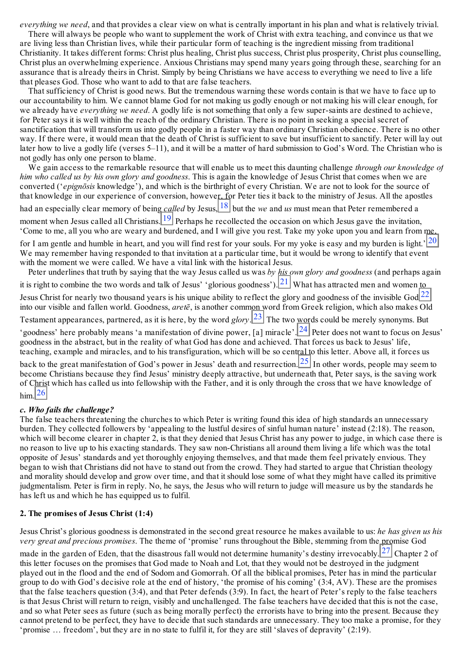*everything we need*, and that provides a clear view on what is centrally important in his plan and what is relatively trivial.

There will always be people who want to supplement the work of Christ with extra teaching, and convince us that we are living less than Christian lives, while their particular form of teaching is the ingredient missing from traditional Christianity. It takes different forms: Christ plus healing, Christ plus success, Christ plus prosperity, Christ plus counselling, Christ plus an overwhelming experience. Anxious Christians may spend many years going through these, searching for an assurance that is already theirs in Christ. Simply by being Christians we have access to everything we need to live a life that pleases God. Those who want to add to that are false teachers.

That sufficiency of Christ is good news. But the tremendous warning these words contain is that we have to face up to our accountability to him. We cannot blame God for not making us godly enough or not making his will clear enough, for we already have *everything we need*. A godly life is not something that only a few super-saints are destined to achieve, for Peter says it is well within the reach of the ordinary Christian. There is no point in seeking a special secret of sanctification that will transform us into godly people in a faster way than ordinary Christian obedience. There is no other way. If there were, it would mean that the death of Christ is sufficient to save but insufficient to sanctify. Peter will lay out later how to live a godly life (verses 5–11), and it will be a matter of hard submission to God's Word. The Christian who is not godly has only one person to blame.

We gain access to the remarkable resource that will enable us to meet this daunting challenge *through our knowledge of him who called us by his own glory and goodness*. This is again the knowledge of Jesus Christ that comes when we are converted ('*epignōsis* knowledge'), and which is the birthright of every Christian. We are not to look for the source of that knowledge in our experience of conversion, however, for Peter ties it back to the ministry of Jesus. All the apostles had an especially clear memory of being *called* by Jesus, <sup>18</sup> but the *we* and *us* must mean that Peter remembered a moment when Jesus called all Christians.  $\frac{19}{2}$  Perhaps he recollected the occasion on which Jesus gave the invitation, 'Come to me, all you who are weary and burdened, and I will give you rest. Take my yoke upon you and learn from me, for I am gentle and humble in heart, and you will find rest for your souls. For my yoke is easy and my burden is light. $\frac{20}{20}$ We may remember having responded to that invitation at a particular time, but it would be wrong to identify that event with the moment we were called. We have a vital link with the historical Jesus.

Peter underlines that truth by saying that the way Jesus called us was *by his own glory and goodness* (and perhaps again it is right to combine the two words and talk of Jesus' 'glorious goodness').  $|21|$  What has attracted men and women to Jesus Christ for nearly two thousand years is his unique ability to reflect the glory and goodness of the invisible God $\frac{22}{2}$ into our visible and fallen world. Goodness, *aretē*, is another common word from Greek religion, which also makes Old Testament appearances, partnered, as it is here, by the word *glory*. 23 The two words could be merely synonyms. But

'goodness' here probably means 'a manifestation of divine power. [a] miracle'.  $|^{24}|$  Peter does not want to focus on Jesus' goodness in the abstract, but in the reality of what God has done and achieved. That forces us back to Jesus' life, teaching, example and miracles, and to his transfiguration, which will be so central to this letter. Above all, it forces us back to the great manifestation of God's power in Jesus' death and resurrection.  $\frac{25}{\sqrt{5}}$  In other words, people may seem to become Christians because they find Jesus' ministry deeply attractive, but underneath that, Peter says, is the saving work of Christ which has called us into fellowship with the Father, and it is only through the cross that we have knowledge of

# $him<sup>26</sup>$ *c. Who fails the challenge?*

The false teachers threatening the churches to which Peter is writing found this idea of high standards an unnecessary burden. They collected followers by 'appealing to the lustful desires of sinful human nature' instead (2:18). The reason, which will become clearer in chapter 2, is that they denied that Jesus Christ has any power to judge, in which case there is no reason to live up to his exacting standards. They saw non-Christians all around them living a life which was the total opposite of Jesus' standards and yet thoroughly enjoying themselves, and that made them feel privately envious. They began to wish that Christians did not have to stand out from the crowd. They had started to argue that Christian theology and morality should develop and grow over time, and that it should lose some of what they might have called its primitive judgmentalism. Peter is firm in reply. No, he says, the Jesus who will return to judge will measure us by the standards he has left us and which he has equipped us to fulfil.

#### **2. The promises of Jesus Christ (1:4)**

Jesus Christ's glorious goodness is demonstrated in the second great resource he makes available to us: *he has given us his very great and precious promises*. The theme of 'promise' runs throughout the Bible, stemming from the promise God

made in the garden of Eden, that the disastrous fall would not determine humanity's destiny irrevocably. $[27]$  Chapter 2 of this letter focuses on the promises that God made to Noah and Lot, that they would not be destroyed in the judgment played out in the flood and the end of Sodom and Gomorrah. Of all the biblical promises, Peter has in mind the particular group to do with God's decisive role at the end of history, 'the promise of his coming' (3:4, AV). These are the promises that the false teachers question (3:4), and that Peter defends (3:9). In fact, the heart of Peter's reply to the false teachers is that Jesus Christ will return to reign, visibly and unchallenged. The false teachers have decided that this is not the case, and so what Peter sees as future (such as being morally perfect) the errorists have to bring into the present. Because they cannot pretend to be perfect, they have to decide that such standards are unnecessary. They too make a promise, for they 'promise … freedom', but they are in no state to fulfil it, for they are still 'slaves of depravity' (2:19).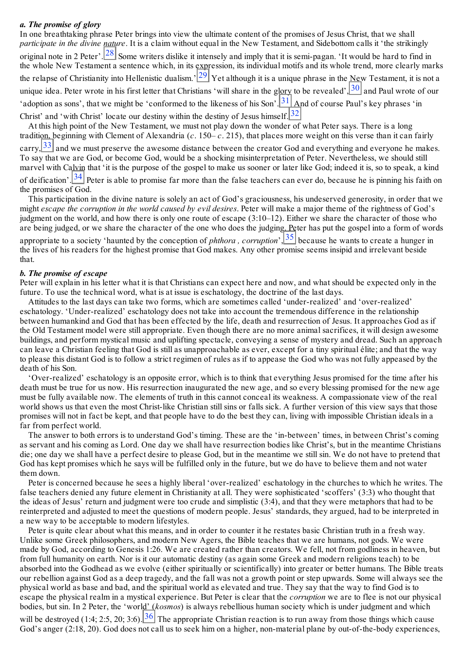#### *a. The promise of glory*

In one breathtaking phrase Peter brings into view the ultimate content of the promises of Jesus Christ, that we shall *participate in the divine nature*. It is a claim without equal in the New Testament, and Sidebottom calls it 'the strikingly original note in 2 Peter'.  $\sqrt{28}$  Some writers dislike it intensely and imply that it is semi-pagan. 'It would be hard to find in the whole New Testament a sentence which, in its expression, its individual motifs and its whole trend, more clearly marks the relapse of Christianity into Hellenistic dualism.'  $\frac{29}{2}$  Yet although it is a unique phrase in the New Testament, it is not a unique idea. Peter wrote in his first letter that Christians 'will share in the glory to be revealed'  $|30|$  and Paul wrote of our 'adoption as sons', that we might be 'conformed to the likeness of his Son'.  $|31|$  And of course Paul's key phrases 'in Christ' and 'with Christ' locate our destiny within the destiny of Jesus himself.  $\frac{32}{3}$ 

At this high point of the New Testament, we must not play down the wonder of what Peter says. There is a long tradition, beginning with Clement of Alexandria (*c*. 150– *c*. 215), that places more weight on this verse than it can fairly carry,  $\frac{33}{3}$  and we must preserve the awesome distance between the creator God and everything and everyone he makes. To say that we are God, or become God, would be a shocking misinterpretation of Peter. Nevertheless, we should still marvel with Calvin that 'it is the purpose of the gospel to make us sooner or later like God; indeed it is, so to speak, a kind of deification'.  $\frac{34}{24}$  Peter is able to promise far more than the false teachers can ever do, because he is pinning his faith on the promises of God.

This participation in the divine nature is solely an act of God's graciousness, his undeserved generosity, in order that we might *escape the corruption in the world caused by evil desires*. Peter will make a major theme of the rightness of God's judgment on the world, and how there is only one route of escape (3:10–12). Either we share the character of those who are being judged, or we share the character of the one who does the judging. Peter has put the gospel into a form of words appropriate to a society 'haunted by the conception of *phthora , corruption*', 35 because he wants to create a hunger in the lives of his readers for the highest promise that God makes. Any other promise seems insipid and irrelevant beside that.

#### *b. The promise of escape*

Peter will explain in his letter what it is that Christians can expect here and now, and what should be expected only in the future. To use the technical word, what is at issue is eschatology, the doctrine of the last days.

Attitudes to the last days can take two forms, which are sometimes called 'under-realized' and 'over-realized' eschatology. 'Under-realized' eschatology does not take into account the tremendous difference in the relationship between humankind and God that has been effected by the life, death and resurrection of Jesus. It approaches God as if the Old Testament model were still appropriate. Even though there are no more animal sacrifices, it will design awesome buildings, and perform mystical music and uplifting spectacle, conveying a sense of mystery and dread. Such an approach can leave a Christian feeling that God is still as unapproachable as ever, except for a tiny spiritual élite; and that the way to please this distant God is to follow a strict regimen of rules as if to appease the God who was not fully appeased by the death of his Son.

'Over-realized' eschatology is an opposite error, which is to think that everything Jesus promised for the time after his death must be true for us now. His resurrection inaugurated the new age, and so every blessing promised for the new age must be fully available now. The elements of truth in this cannot conceal its weakness. A compassionate view of the real world shows us that even the most Christ-like Christian still sins or falls sick. A further version of this view says that those promises will not in fact be kept, and that people have to do the best they can, living with impossible Christian ideals in a far from perfect world.

The answer to both errors is to understand God's timing. These are the 'in-between' times, in between Christ's coming as servant and his coming as Lord. One day we shall have resurrection bodies like Christ's, but in the meantime Christians die; one day we shall have a perfect desire to please God, but in the meantime we still sin. We do not have to pretend that God has kept promises which he says will be fulfilled only in the future, but we do have to believe them and not water them down.

Peter is concerned because he sees a highly liberal 'over-realized' eschatology in the churches to which he writes. The false teachers denied any future element in Christianity at all. They were sophisticated 'scoffers' (3:3) who thought that the ideas of Jesus' return and judgment were too crude and simplistic (3:4), and that they were metaphors that had to be reinterpreted and adjusted to meet the questions of modern people. Jesus' standards, they argued, had to be interpreted in a new way to be acceptable to modern lifestyles.

Peter is quite clear about what this means, and in order to counter it he restates basic Christian truth in a fresh way. Unlike some Greek philosophers, and modern New Agers, the Bible teaches that we are humans, not gods. We were made by God, according to Genesis 1:26. We are created rather than creators. We fell, not from godliness in heaven, but from full humanity on earth. Nor is it our automatic destiny (as again some Greek and modern religions teach) to be absorbed into the Godhead as we evolve (either spiritually or scientifically) into greater or better humans. The Bible treats our rebellion against God as a deep tragedy, and the fall was not a growth point or step upwards. Some will always see the physical world as base and bad, and the spiritual world as elevated and true. They say that the way to find God is to escape the physical realm in a mystical experience. But Peter is clear that the *corruption* we are to flee is not our physical bodies, but sin. In 2 Peter, the 'world' (*kosmos*) is always rebellious human society which is under judgment and which will be destroyed (1:4; 2:5, 20; 3:6).  $\frac{36}{10}$  The appropriate Christian reaction is to run away from those things which cause God's anger (2:18, 20). God does not call us to seek him on a higher, non-material plane by out-of-the-body experiences,